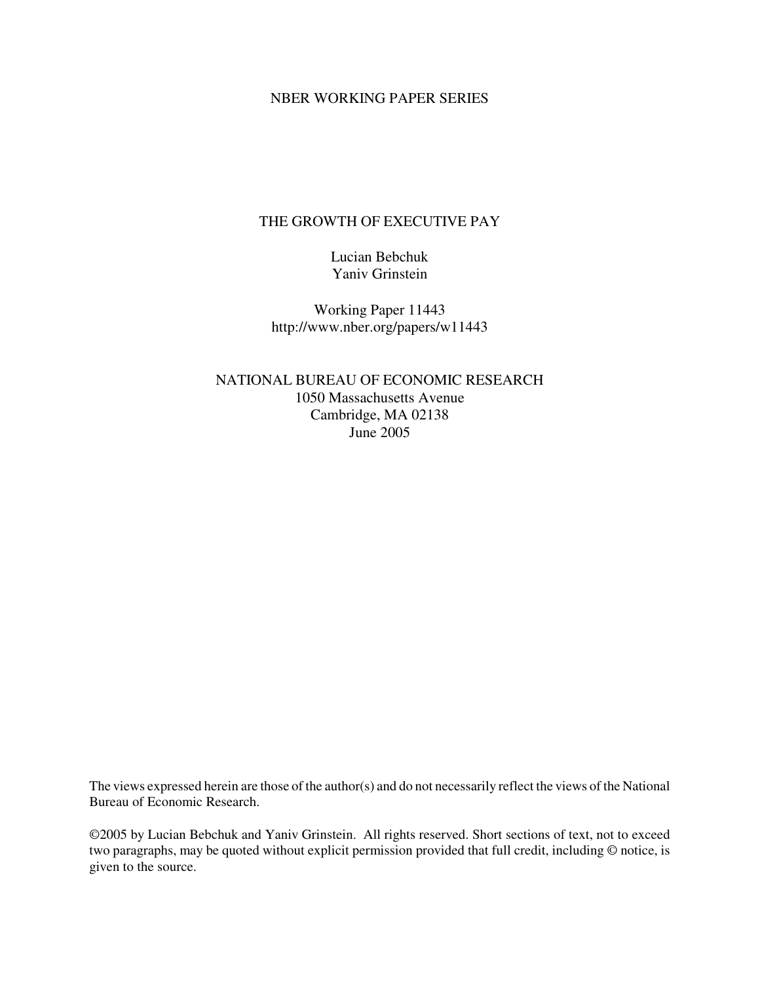# NBER WORKING PAPER SERIES

# THE GROWTH OF EXECUTIVE PAY

Lucian Bebchuk Yaniv Grinstein

Working Paper 11443 http://www.nber.org/papers/w11443

NATIONAL BUREAU OF ECONOMIC RESEARCH 1050 Massachusetts Avenue Cambridge, MA 02138 June 2005

The views expressed herein are those of the author(s) and do not necessarily reflect the views of the National Bureau of Economic Research.

©2005 by Lucian Bebchuk and Yaniv Grinstein. All rights reserved. Short sections of text, not to exceed two paragraphs, may be quoted without explicit permission provided that full credit, including © notice, is given to the source.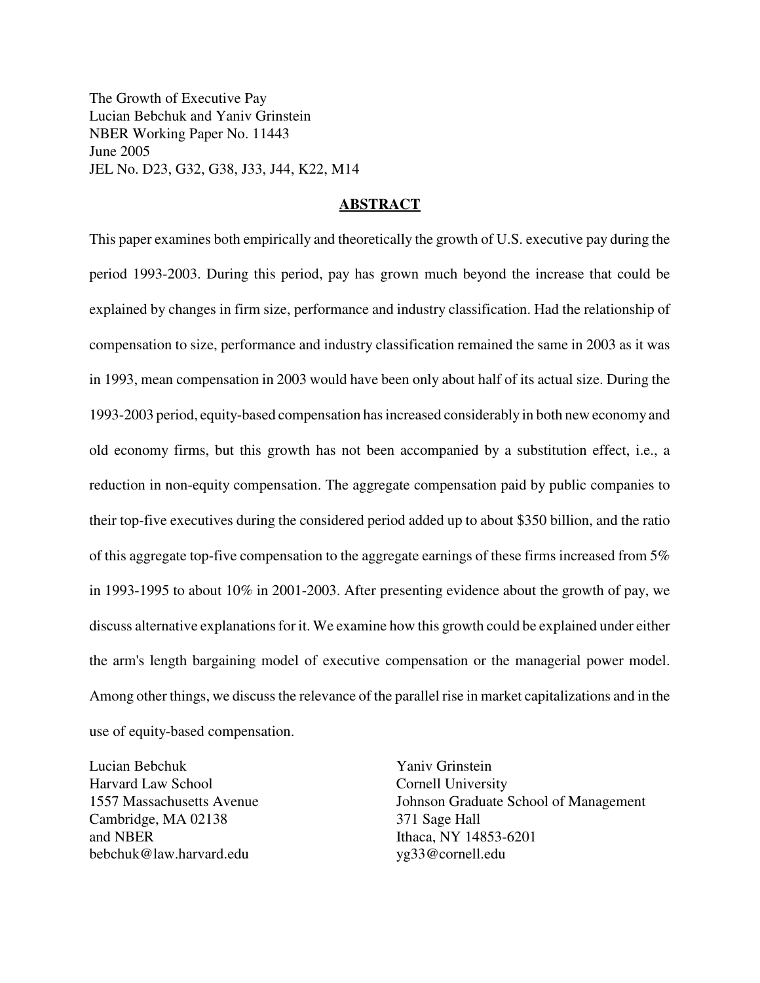The Growth of Executive Pay Lucian Bebchuk and Yaniv Grinstein NBER Working Paper No. 11443 June 2005 JEL No. D23, G32, G38, J33, J44, K22, M14

# **ABSTRACT**

This paper examines both empirically and theoretically the growth of U.S. executive pay during the period 1993-2003. During this period, pay has grown much beyond the increase that could be explained by changes in firm size, performance and industry classification. Had the relationship of compensation to size, performance and industry classification remained the same in 2003 as it was in 1993, mean compensation in 2003 would have been only about half of its actual size. During the 1993-2003 period, equity-based compensation hasincreased considerably in both new economy and old economy firms, but this growth has not been accompanied by a substitution effect, i.e., a reduction in non-equity compensation. The aggregate compensation paid by public companies to their top-five executives during the considered period added up to about \$350 billion, and the ratio of this aggregate top-five compensation to the aggregate earnings of these firms increased from 5% in 1993-1995 to about 10% in 2001-2003. After presenting evidence about the growth of pay, we discuss alternative explanations for it. We examine how this growth could be explained under either the arm's length bargaining model of executive compensation or the managerial power model. Among other things, we discuss the relevance of the parallel rise in market capitalizations and in the use of equity-based compensation.

Lucian Bebchuk Harvard Law School 1557 Massachusetts Avenue Cambridge, MA 02138 and NBER bebchuk@law.harvard.edu

Yaniv Grinstein Cornell University Johnson Graduate School of Management 371 Sage Hall Ithaca, NY 14853-6201 yg33@cornell.edu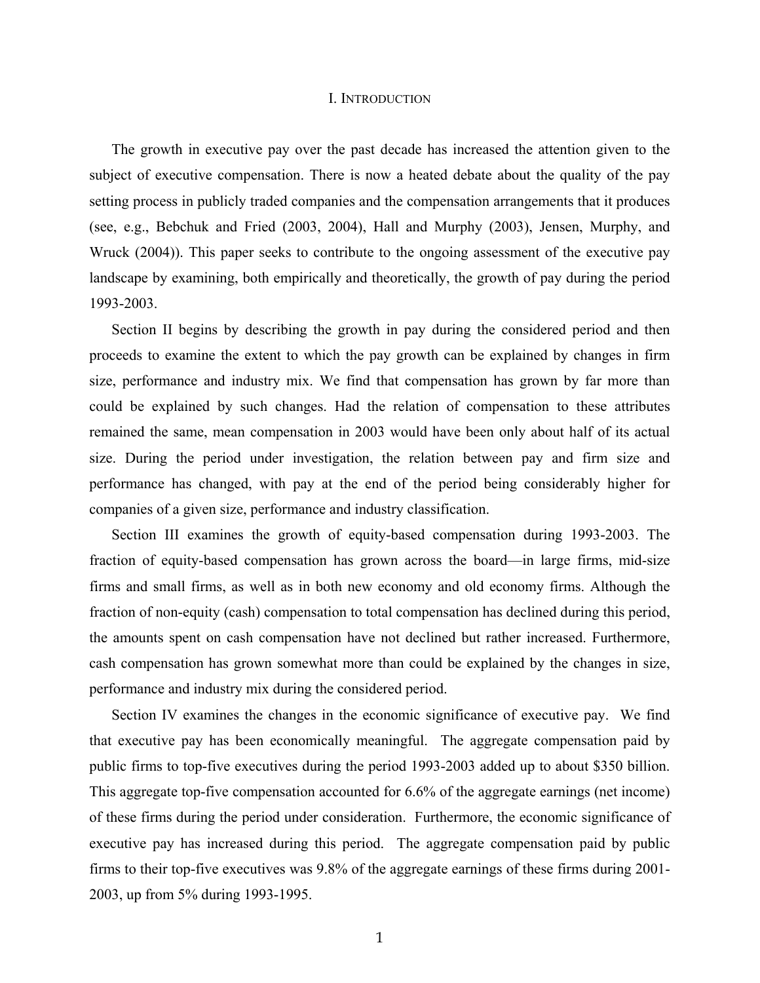#### I. INTRODUCTION

The growth in executive pay over the past decade has increased the attention given to the subject of executive compensation. There is now a heated debate about the quality of the pay setting process in publicly traded companies and the compensation arrangements that it produces (see, e.g., Bebchuk and Fried (2003, 2004), Hall and Murphy (2003), Jensen, Murphy, and Wruck (2004)). This paper seeks to contribute to the ongoing assessment of the executive pay landscape by examining, both empirically and theoretically, the growth of pay during the period 1993-2003.

Section II begins by describing the growth in pay during the considered period and then proceeds to examine the extent to which the pay growth can be explained by changes in firm size, performance and industry mix. We find that compensation has grown by far more than could be explained by such changes. Had the relation of compensation to these attributes remained the same, mean compensation in 2003 would have been only about half of its actual size. During the period under investigation, the relation between pay and firm size and performance has changed, with pay at the end of the period being considerably higher for companies of a given size, performance and industry classification.

Section III examines the growth of equity-based compensation during 1993-2003. The fraction of equity-based compensation has grown across the board—in large firms, mid-size firms and small firms, as well as in both new economy and old economy firms. Although the fraction of non-equity (cash) compensation to total compensation has declined during this period, the amounts spent on cash compensation have not declined but rather increased. Furthermore, cash compensation has grown somewhat more than could be explained by the changes in size, performance and industry mix during the considered period.

Section IV examines the changes in the economic significance of executive pay. We find that executive pay has been economically meaningful. The aggregate compensation paid by public firms to top-five executives during the period 1993-2003 added up to about \$350 billion. This aggregate top-five compensation accounted for 6.6% of the aggregate earnings (net income) of these firms during the period under consideration. Furthermore, the economic significance of executive pay has increased during this period. The aggregate compensation paid by public firms to their top-five executives was 9.8% of the aggregate earnings of these firms during 2001- 2003, up from 5% during 1993-1995.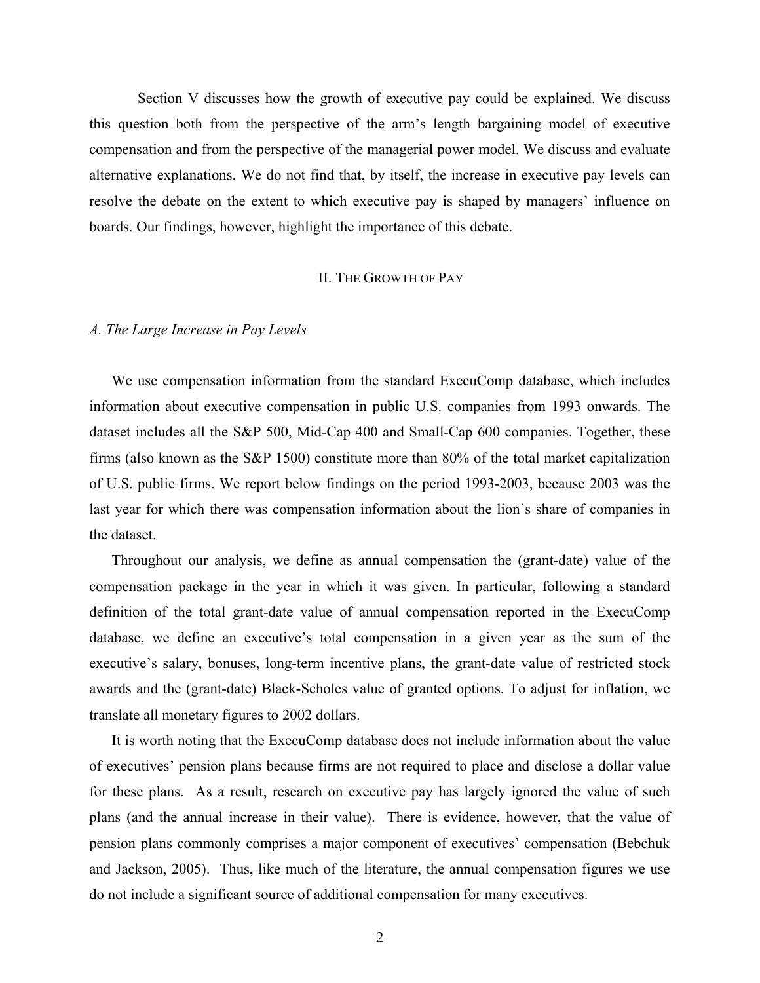Section V discusses how the growth of executive pay could be explained. We discuss this question both from the perspective of the arm's length bargaining model of executive compensation and from the perspective of the managerial power model. We discuss and evaluate alternative explanations. We do not find that, by itself, the increase in executive pay levels can resolve the debate on the extent to which executive pay is shaped by managers' influence on boards. Our findings, however, highlight the importance of this debate.

#### II. THE GROWTH OF PAY

### *A. The Large Increase in Pay Levels*

We use compensation information from the standard ExecuComp database, which includes information about executive compensation in public U.S. companies from 1993 onwards. The dataset includes all the S&P 500, Mid-Cap 400 and Small-Cap 600 companies. Together, these firms (also known as the S&P 1500) constitute more than 80% of the total market capitalization of U.S. public firms. We report below findings on the period 1993-2003, because 2003 was the last year for which there was compensation information about the lion's share of companies in the dataset.

Throughout our analysis, we define as annual compensation the (grant-date) value of the compensation package in the year in which it was given. In particular, following a standard definition of the total grant-date value of annual compensation reported in the ExecuComp database, we define an executive's total compensation in a given year as the sum of the executive's salary, bonuses, long-term incentive plans, the grant-date value of restricted stock awards and the (grant-date) Black-Scholes value of granted options. To adjust for inflation, we translate all monetary figures to 2002 dollars.

It is worth noting that the ExecuComp database does not include information about the value of executives' pension plans because firms are not required to place and disclose a dollar value for these plans. As a result, research on executive pay has largely ignored the value of such plans (and the annual increase in their value). There is evidence, however, that the value of pension plans commonly comprises a major component of executives' compensation (Bebchuk and Jackson, 2005). Thus, like much of the literature, the annual compensation figures we use do not include a significant source of additional compensation for many executives.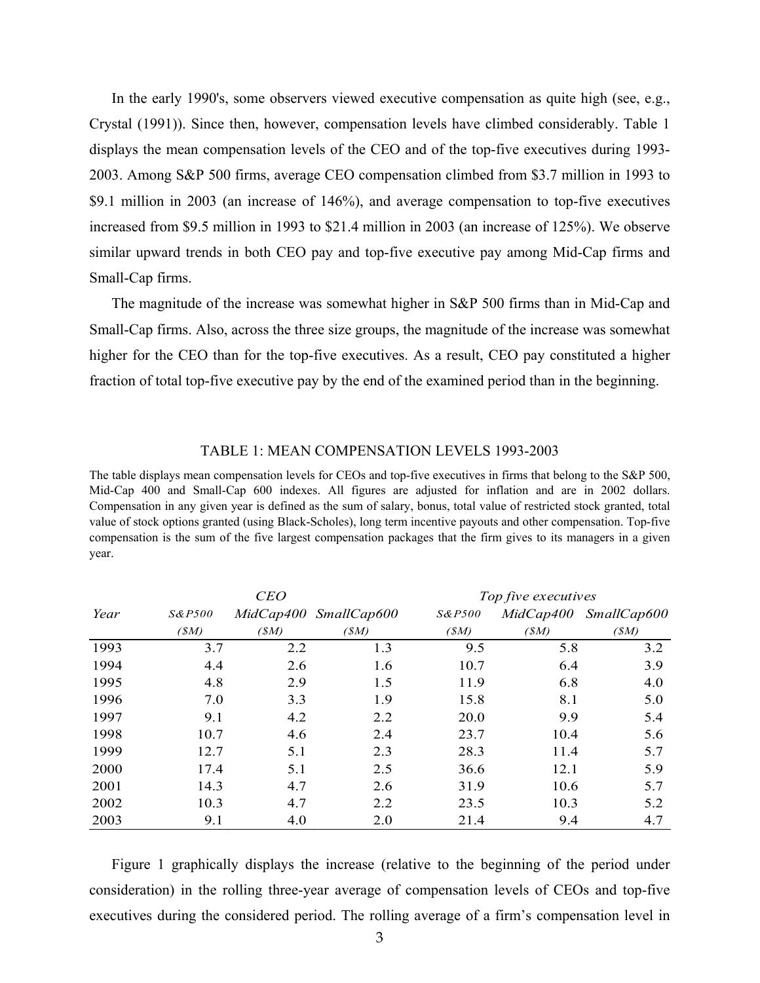In the early 1990's, some observers viewed executive compensation as quite high (see, e.g., Crystal (1991)). Since then, however, compensation levels have climbed considerably. Table 1 displays the mean compensation levels of the CEO and of the top-five executives during 1993- 2003. Among S&P 500 firms, average CEO compensation climbed from \$3.7 million in 1993 to \$9.1 million in 2003 (an increase of 146%), and average compensation to top-five executives increased from \$9.5 million in 1993 to \$21.4 million in 2003 (an increase of 125%). We observe similar upward trends in both CEO pay and top-five executive pay among Mid-Cap firms and Small-Cap firms.

The magnitude of the increase was somewhat higher in S&P 500 firms than in Mid-Cap and Small-Cap firms. Also, across the three size groups, the magnitude of the increase was somewhat higher for the CEO than for the top-five executives. As a result, CEO pay constituted a higher fraction of total top-five executive pay by the end of the examined period than in the beginning.

### TABLE 1: MEAN COMPENSATION LEVELS 1993-2003

The table displays mean compensation levels for CEOs and top-five executives in firms that belong to the S&P 500, Mid-Cap 400 and Small-Cap 600 indexes. All figures are adjusted for inflation and are in 2002 dollars. Compensation in any given year is defined as the sum of salary, bonus, total value of restricted stock granted, total value of stock options granted (using Black-Scholes), long term incentive payouts and other compensation. Top-five compensation is the sum of the five largest compensation packages that the firm gives to its managers in a given year.

|      | <b>CEO</b> |           |             |           | Top five executives |             |  |
|------|------------|-----------|-------------|-----------|---------------------|-------------|--|
| Year | $S\&P500$  | MidCap400 | SmallCap600 | $S\&P500$ | MidCap400           | SmallCap600 |  |
|      | (SM)       | (SM)      | (SM)        | (SM)      | (SM)                | (SM)        |  |
| 1993 | 3.7        | 2.2       | 1.3         | 9.5       | 5.8                 | 3.2         |  |
| 1994 | 4.4        | 2.6       | 1.6         | 10.7      | 6.4                 | 3.9         |  |
| 1995 | 4.8        | 2.9       | 1.5         | 11.9      | 6.8                 | 4.0         |  |
| 1996 | 7.0        | 3.3       | 1.9         | 15.8      | 8.1                 | 5.0         |  |
| 1997 | 9.1        | 4.2       | 2.2         | 20.0      | 9.9                 | 5.4         |  |
| 1998 | 10.7       | 4.6       | 2.4         | 23.7      | 10.4                | 5.6         |  |
| 1999 | 12.7       | 5.1       | 2.3         | 28.3      | 11.4                | 5.7         |  |
| 2000 | 17.4       | 5.1       | 2.5         | 36.6      | 12.1                | 5.9         |  |
| 2001 | 14.3       | 4.7       | 2.6         | 31.9      | 10.6                | 5.7         |  |
| 2002 | 10.3       | 4.7       | 2.2         | 23.5      | 10.3                | 5.2         |  |
| 2003 | 9.1        | 4.0       | 2.0         | 21.4      | 9.4                 | 4.7         |  |

Figure 1 graphically displays the increase (relative to the beginning of the period under consideration) in the rolling three-year average of compensation levels of CEOs and top-five executives during the considered period. The rolling average of a firm's compensation level in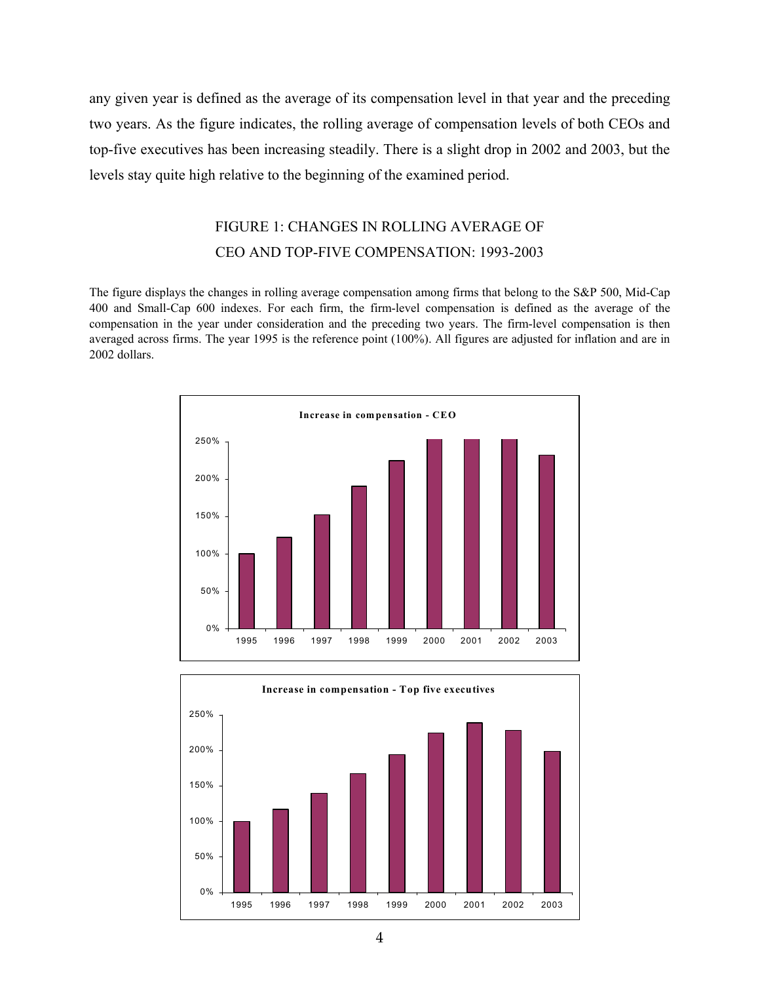any given year is defined as the average of its compensation level in that year and the preceding two years. As the figure indicates, the rolling average of compensation levels of both CEOs and top-five executives has been increasing steadily. There is a slight drop in 2002 and 2003, but the levels stay quite high relative to the beginning of the examined period.

# FIGURE 1: CHANGES IN ROLLING AVERAGE OF CEO AND TOP-FIVE COMPENSATION: 1993-2003

The figure displays the changes in rolling average compensation among firms that belong to the S&P 500, Mid-Cap 400 and Small-Cap 600 indexes. For each firm, the firm-level compensation is defined as the average of the compensation in the year under consideration and the preceding two years. The firm-level compensation is then averaged across firms. The year 1995 is the reference point (100%). All figures are adjusted for inflation and are in 2002 dollars.



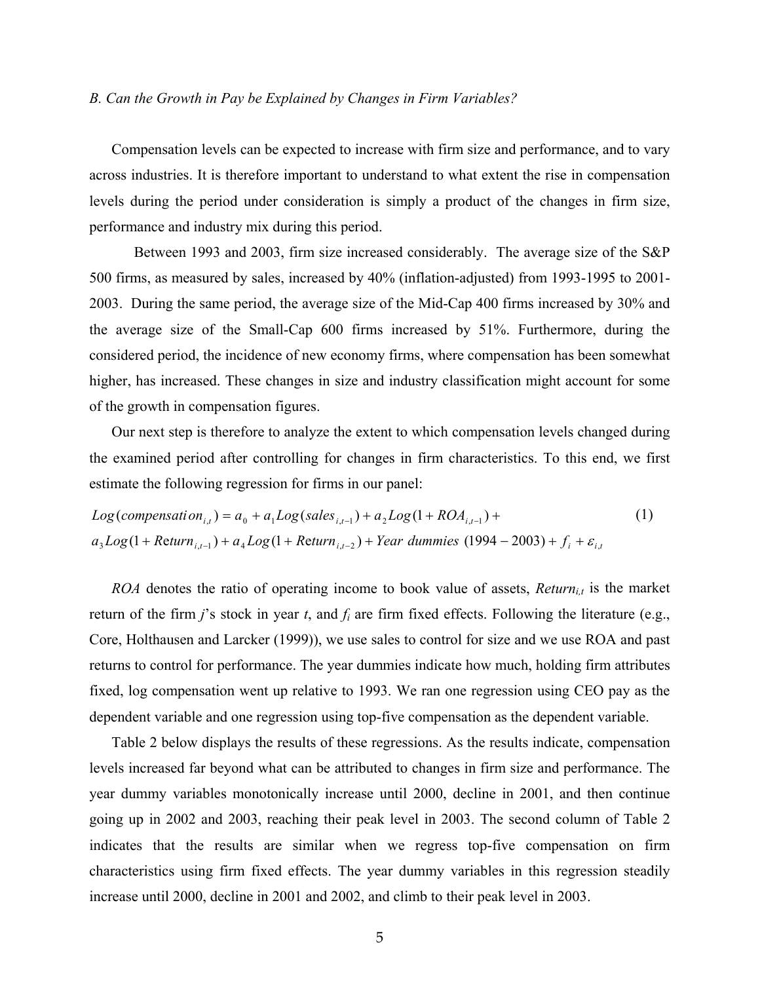### *B. Can the Growth in Pay be Explained by Changes in Firm Variables?*

Compensation levels can be expected to increase with firm size and performance, and to vary across industries. It is therefore important to understand to what extent the rise in compensation levels during the period under consideration is simply a product of the changes in firm size, performance and industry mix during this period.

 Between 1993 and 2003, firm size increased considerably. The average size of the S&P 500 firms, as measured by sales, increased by 40% (inflation-adjusted) from 1993-1995 to 2001- 2003. During the same period, the average size of the Mid-Cap 400 firms increased by 30% and the average size of the Small-Cap 600 firms increased by 51%. Furthermore, during the considered period, the incidence of new economy firms, where compensation has been somewhat higher, has increased. These changes in size and industry classification might account for some of the growth in compensation figures.

Our next step is therefore to analyze the extent to which compensation levels changed during the examined period after controlling for changes in firm characteristics. To this end, we first estimate the following regression for firms in our panel:

$$
Log( compensation_{i,t}) = a_0 + a_1 Log(sales_{i,t-1}) + a_2 Log(1 + ROA_{i,t-1}) +
$$
  
\n
$$
a_3 Log(1 + Return_{i,t-1}) + a_4 Log(1 + Return_{i,t-2}) + Year \; dummies \; (1994 - 2003) + f_i + \varepsilon_{i,t}
$$
\n(1)

*ROA* denotes the ratio of operating income to book value of assets, *Return*<sub>it</sub> is the market return of the firm *j*'s stock in year *t*, and *fi* are firm fixed effects. Following the literature (e.g., Core, Holthausen and Larcker (1999)), we use sales to control for size and we use ROA and past returns to control for performance. The year dummies indicate how much, holding firm attributes fixed, log compensation went up relative to 1993. We ran one regression using CEO pay as the dependent variable and one regression using top-five compensation as the dependent variable.

Table 2 below displays the results of these regressions. As the results indicate, compensation levels increased far beyond what can be attributed to changes in firm size and performance. The year dummy variables monotonically increase until 2000, decline in 2001, and then continue going up in 2002 and 2003, reaching their peak level in 2003. The second column of Table 2 indicates that the results are similar when we regress top-five compensation on firm characteristics using firm fixed effects. The year dummy variables in this regression steadily increase until 2000, decline in 2001 and 2002, and climb to their peak level in 2003.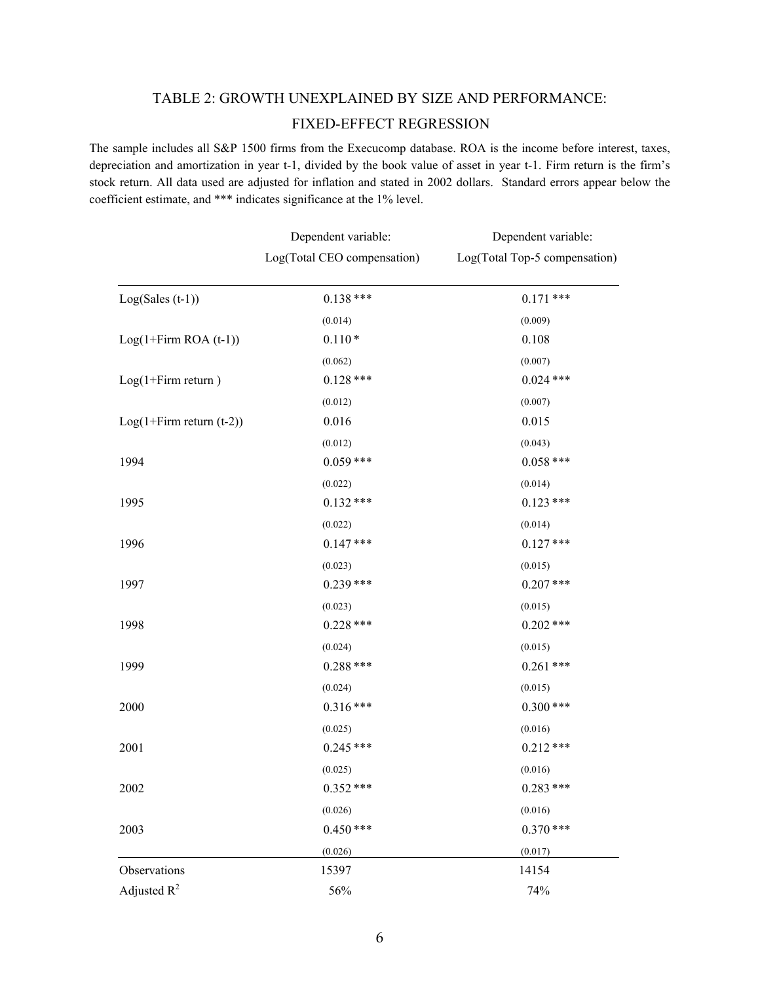# TABLE 2: GROWTH UNEXPLAINED BY SIZE AND PERFORMANCE: FIXED-EFFECT REGRESSION

The sample includes all S&P 1500 firms from the Execucomp database. ROA is the income before interest, taxes, depreciation and amortization in year t-1, divided by the book value of asset in year t-1. Firm return is the firm's stock return. All data used are adjusted for inflation and stated in 2002 dollars. Standard errors appear below the coefficient estimate, and \*\*\* indicates significance at the 1% level.

|                            | Dependent variable:         | Dependent variable:           |  |
|----------------------------|-----------------------------|-------------------------------|--|
|                            | Log(Total CEO compensation) | Log(Total Top-5 compensation) |  |
| $Log(Sales(t-1))$          | $0.138***$                  | $0.171$ ***                   |  |
|                            | (0.014)                     | (0.009)                       |  |
| $Log(1+Firm ROA(t-1))$     | $0.110*$                    | 0.108                         |  |
|                            | (0.062)                     | (0.007)                       |  |
| $Log(1 + Firm return)$     | $0.128$ ***                 | $0.024$ ***                   |  |
|                            | (0.012)                     | (0.007)                       |  |
| $Log(1+Firm return (t-2))$ | 0.016                       | 0.015                         |  |
|                            | (0.012)                     | (0.043)                       |  |
| 1994                       | $0.059$ ***                 | $0.058$ ***                   |  |
|                            | (0.022)                     | (0.014)                       |  |
| 1995                       | $0.132***$                  | $0.123$ ***                   |  |
|                            | (0.022)                     | (0.014)                       |  |
| 1996                       | $0.147***$                  | $0.127$ ***                   |  |
|                            | (0.023)                     | (0.015)                       |  |
| 1997                       | $0.239***$                  | $0.207$ ***                   |  |
|                            | (0.023)                     | (0.015)                       |  |
| 1998                       | $0.228$ ***                 | $0.202$ ***                   |  |
|                            | (0.024)                     | (0.015)                       |  |
| 1999                       | $0.288$ ***                 | $0.261$ ***                   |  |
|                            | (0.024)                     | (0.015)                       |  |
| 2000                       | $0.316***$                  | $0.300$ ***                   |  |
|                            | (0.025)                     | (0.016)                       |  |
| 2001                       | $0.245$ ***                 | $0.212***$                    |  |
|                            | (0.025)                     | (0.016)                       |  |
| 2002                       | $0.352$ ***                 | $0.283$ ***                   |  |
|                            | (0.026)                     | (0.016)                       |  |
| 2003                       | $0.450$ ***                 | $0.370$ ***                   |  |
|                            | (0.026)                     | (0.017)                       |  |
| Observations               | 15397                       | 14154                         |  |
| Adjusted $R^2$             | 56%                         | 74%                           |  |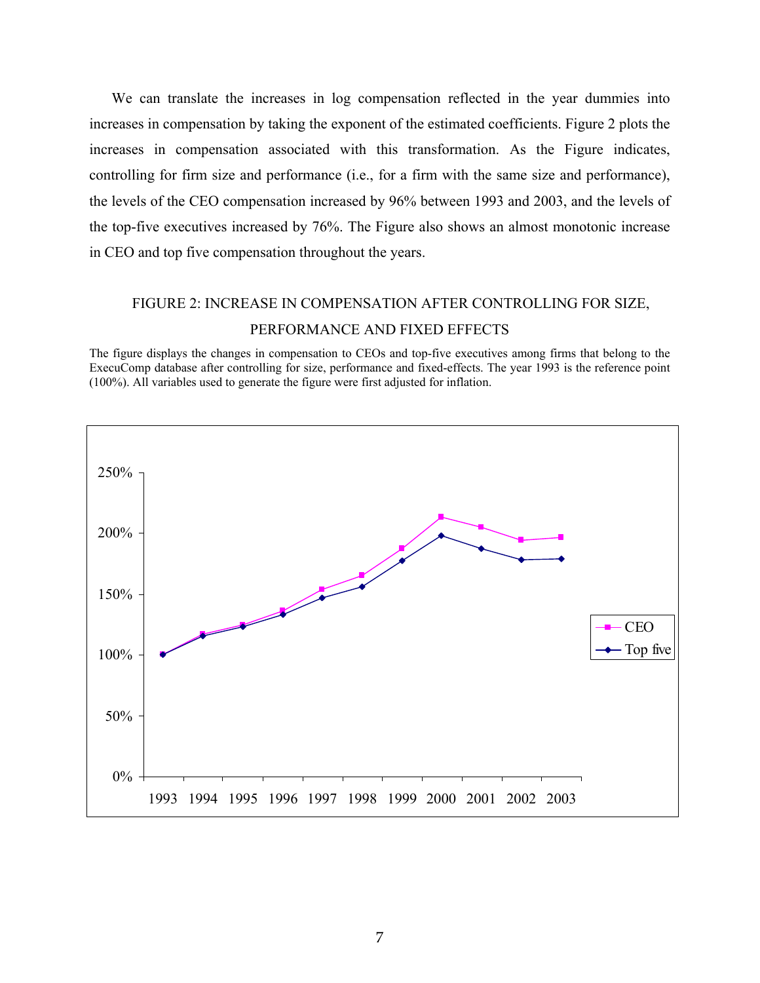We can translate the increases in log compensation reflected in the year dummies into increases in compensation by taking the exponent of the estimated coefficients. Figure 2 plots the increases in compensation associated with this transformation. As the Figure indicates, controlling for firm size and performance (i.e., for a firm with the same size and performance), the levels of the CEO compensation increased by 96% between 1993 and 2003, and the levels of the top-five executives increased by 76%. The Figure also shows an almost monotonic increase in CEO and top five compensation throughout the years.

# FIGURE 2: INCREASE IN COMPENSATION AFTER CONTROLLING FOR SIZE, PERFORMANCE AND FIXED EFFECTS

The figure displays the changes in compensation to CEOs and top-five executives among firms that belong to the ExecuComp database after controlling for size, performance and fixed-effects. The year 1993 is the reference point (100%). All variables used to generate the figure were first adjusted for inflation.

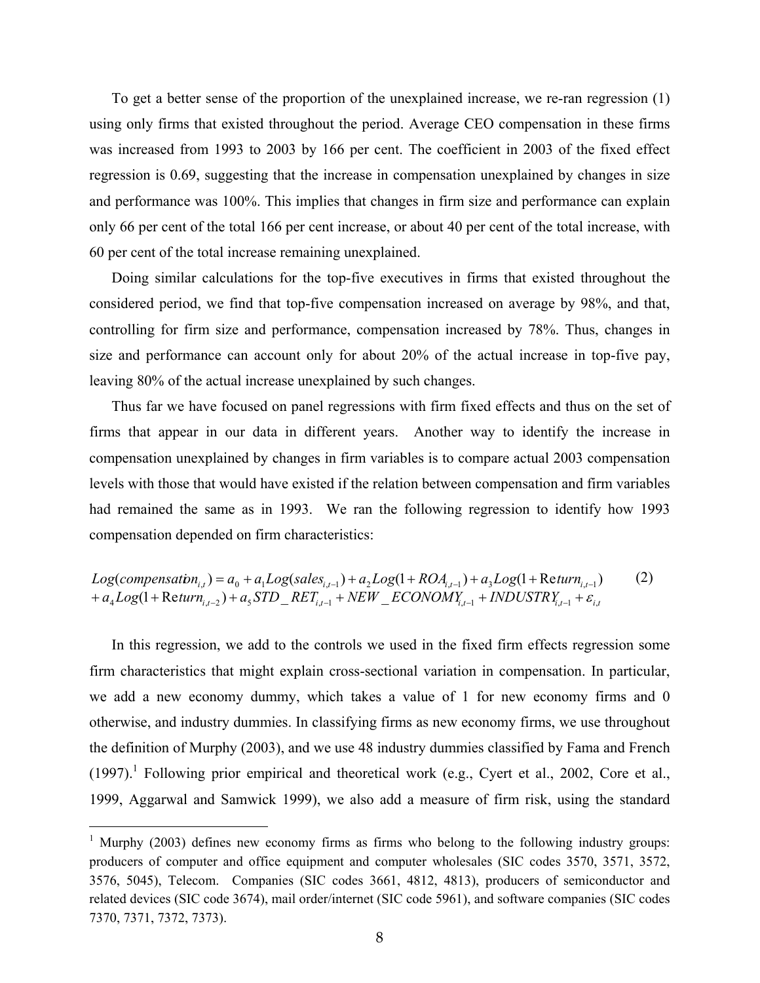To get a better sense of the proportion of the unexplained increase, we re-ran regression (1) using only firms that existed throughout the period. Average CEO compensation in these firms was increased from 1993 to 2003 by 166 per cent. The coefficient in 2003 of the fixed effect regression is 0.69, suggesting that the increase in compensation unexplained by changes in size and performance was 100%. This implies that changes in firm size and performance can explain only 66 per cent of the total 166 per cent increase, or about 40 per cent of the total increase, with 60 per cent of the total increase remaining unexplained.

Doing similar calculations for the top-five executives in firms that existed throughout the considered period, we find that top-five compensation increased on average by 98%, and that, controlling for firm size and performance, compensation increased by 78%. Thus, changes in size and performance can account only for about 20% of the actual increase in top-five pay, leaving 80% of the actual increase unexplained by such changes.

Thus far we have focused on panel regressions with firm fixed effects and thus on the set of firms that appear in our data in different years. Another way to identify the increase in compensation unexplained by changes in firm variables is to compare actual 2003 compensation levels with those that would have existed if the relation between compensation and firm variables had remained the same as in 1993. We ran the following regression to identify how 1993 compensation depended on firm characteristics:

$$
Log(compensation_{i,t}) = a_0 + a_1 Log(sales_{i,t-1}) + a_2 Log(1 + ROA_{i,t-1}) + a_3 Log(1 + Return_{i,t-1})
$$
 (2)  
+ a\_4 Log(1 + Return\_{i,t-2}) + a\_5 STD\_RET\_{i,t-1} + NEW\\_ECONOMY\_{i,t-1} + INDUSTRY\_{i,t-1} + \varepsilon\_{i,t}

In this regression, we add to the controls we used in the fixed firm effects regression some firm characteristics that might explain cross-sectional variation in compensation. In particular, we add a new economy dummy, which takes a value of 1 for new economy firms and 0 otherwise, and industry dummies. In classifying firms as new economy firms, we use throughout the definition of Murphy (2003), and we use 48 industry dummies classified by Fama and French  $(1997).$ <sup>1</sup> Following prior empirical and theoretical work (e.g., Cyert et al., 2002, Core et al., 1999, Aggarwal and Samwick 1999), we also add a measure of firm risk, using the standard

<sup>&</sup>lt;sup>1</sup> Murphy (2003) defines new economy firms as firms who belong to the following industry groups: producers of computer and office equipment and computer wholesales (SIC codes 3570, 3571, 3572, 3576, 5045), Telecom. Companies (SIC codes 3661, 4812, 4813), producers of semiconductor and related devices (SIC code 3674), mail order/internet (SIC code 5961), and software companies (SIC codes 7370, 7371, 7372, 7373).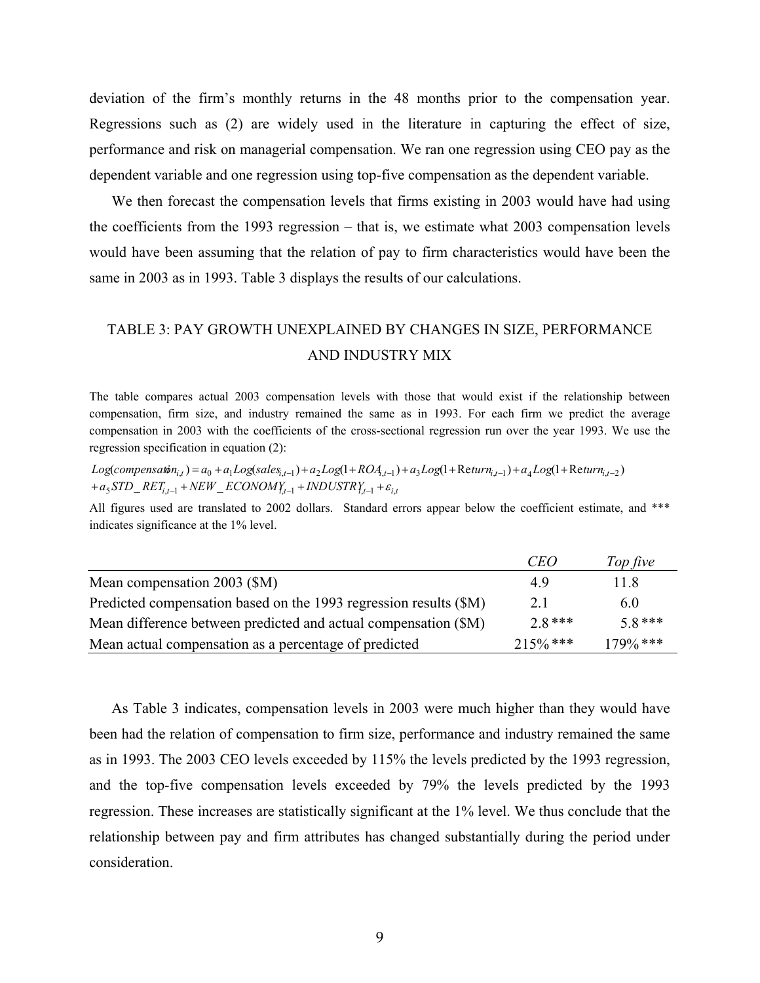deviation of the firm's monthly returns in the 48 months prior to the compensation year. Regressions such as (2) are widely used in the literature in capturing the effect of size, performance and risk on managerial compensation. We ran one regression using CEO pay as the dependent variable and one regression using top-five compensation as the dependent variable.

We then forecast the compensation levels that firms existing in 2003 would have had using the coefficients from the 1993 regression – that is, we estimate what 2003 compensation levels would have been assuming that the relation of pay to firm characteristics would have been the same in 2003 as in 1993. Table 3 displays the results of our calculations.

# TABLE 3: PAY GROWTH UNEXPLAINED BY CHANGES IN SIZE, PERFORMANCE AND INDUSTRY MIX

The table compares actual 2003 compensation levels with those that would exist if the relationship between compensation, firm size, and industry remained the same as in 1993. For each firm we predict the average compensation in 2003 with the coefficients of the cross-sectional regression run over the year 1993. We use the regression specification in equation (2):

 $i + a_5 STD$ <sub>-</sub> $RET_{i,t-1}$  +  $NEW$ <sub>-</sub> $ECONOMY_{i,t-1}$  +  $INDUSTRY_{i,t-1}$  +  $\varepsilon_{i,t}$  $Log(compensa \nleftrightarrow n_{i,t}) = a_0 + a_1 Log(sales_{i,t-1}) + a_2 Log(1 + ROA_{i,t-1}) + a_3 Log(1 + Return_{i,t-1}) + a_4 Log(1 + Return_{i,t-2})$ 

All figures used are translated to 2002 dollars. Standard errors appear below the coefficient estimate, and \*\*\* indicates significance at the 1% level.

|                                                                   | <b>CEO</b>  | Top five      |
|-------------------------------------------------------------------|-------------|---------------|
| Mean compensation 2003 (\$M)                                      | 49          | 11 8          |
| Predicted compensation based on the 1993 regression results (\$M) | 2.1         | $6.0^{\circ}$ |
| Mean difference between predicted and actual compensation (\$M)   | $2.8***$    | $58***$       |
| Mean actual compensation as a percentage of predicted             | $215\%$ *** | $179\%$ ***   |

As Table 3 indicates, compensation levels in 2003 were much higher than they would have been had the relation of compensation to firm size, performance and industry remained the same as in 1993. The 2003 CEO levels exceeded by 115% the levels predicted by the 1993 regression, and the top-five compensation levels exceeded by 79% the levels predicted by the 1993 regression. These increases are statistically significant at the 1% level. We thus conclude that the relationship between pay and firm attributes has changed substantially during the period under consideration.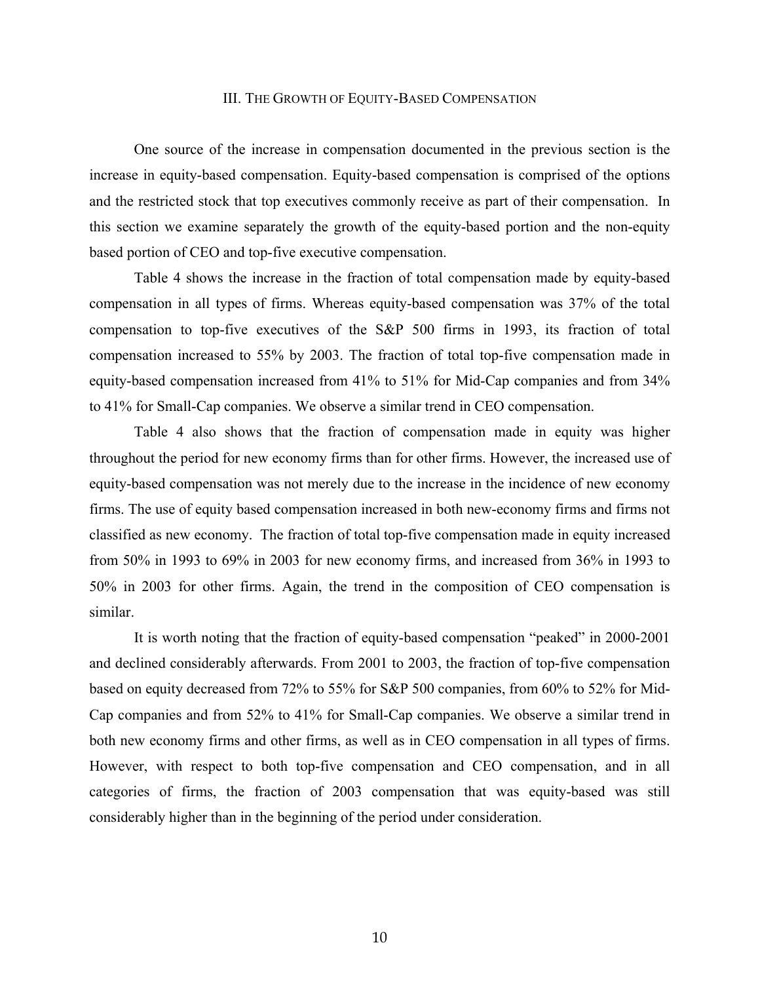### III. THE GROWTH OF EQUITY-BASED COMPENSATION

One source of the increase in compensation documented in the previous section is the increase in equity-based compensation. Equity-based compensation is comprised of the options and the restricted stock that top executives commonly receive as part of their compensation. In this section we examine separately the growth of the equity-based portion and the non-equity based portion of CEO and top-five executive compensation.

Table 4 shows the increase in the fraction of total compensation made by equity-based compensation in all types of firms. Whereas equity-based compensation was 37% of the total compensation to top-five executives of the S&P 500 firms in 1993, its fraction of total compensation increased to 55% by 2003. The fraction of total top-five compensation made in equity-based compensation increased from 41% to 51% for Mid-Cap companies and from 34% to 41% for Small-Cap companies. We observe a similar trend in CEO compensation.

Table 4 also shows that the fraction of compensation made in equity was higher throughout the period for new economy firms than for other firms. However, the increased use of equity-based compensation was not merely due to the increase in the incidence of new economy firms. The use of equity based compensation increased in both new-economy firms and firms not classified as new economy. The fraction of total top-five compensation made in equity increased from 50% in 1993 to 69% in 2003 for new economy firms, and increased from 36% in 1993 to 50% in 2003 for other firms. Again, the trend in the composition of CEO compensation is similar.

It is worth noting that the fraction of equity-based compensation "peaked" in 2000-2001 and declined considerably afterwards. From 2001 to 2003, the fraction of top-five compensation based on equity decreased from 72% to 55% for S&P 500 companies, from 60% to 52% for Mid-Cap companies and from 52% to 41% for Small-Cap companies. We observe a similar trend in both new economy firms and other firms, as well as in CEO compensation in all types of firms. However, with respect to both top-five compensation and CEO compensation, and in all categories of firms, the fraction of 2003 compensation that was equity-based was still considerably higher than in the beginning of the period under consideration.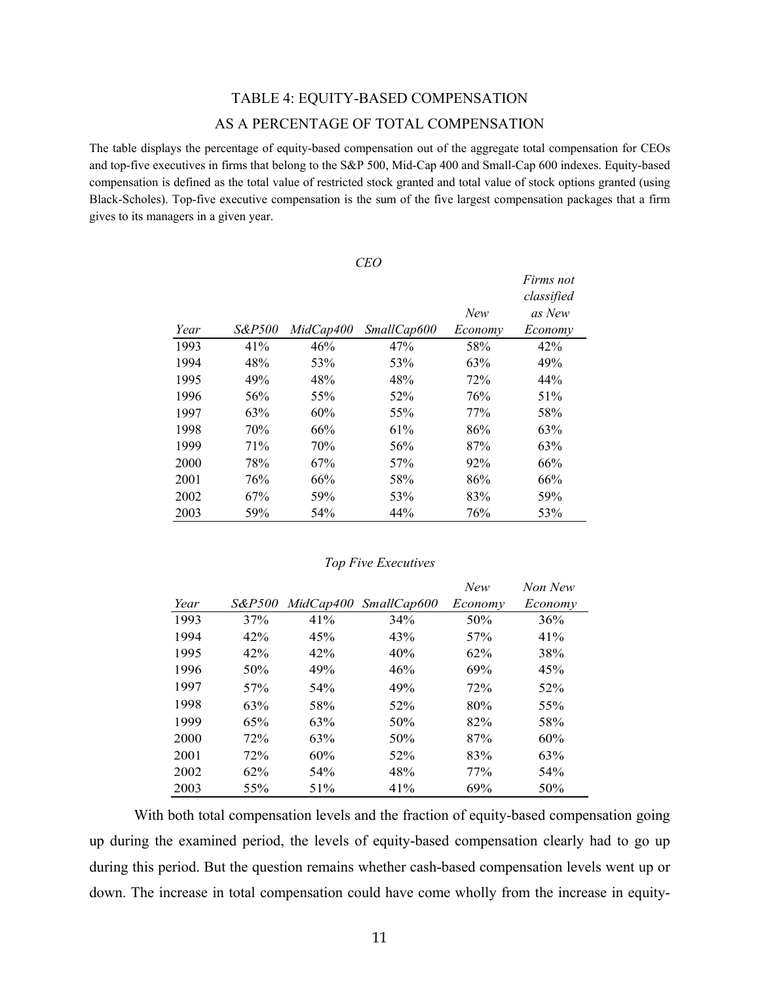# TABLE 4: EQUITY-BASED COMPENSATION AS A PERCENTAGE OF TOTAL COMPENSATION

The table displays the percentage of equity-based compensation out of the aggregate total compensation for CEOs and top-five executives in firms that belong to the S&P 500, Mid-Cap 400 and Small-Cap 600 indexes. Equity-based compensation is defined as the total value of restricted stock granted and total value of stock options granted (using Black-Scholes). Top-five executive compensation is the sum of the five largest compensation packages that a firm gives to its managers in a given year.

|      |                   |           | <i>CEO</i>  |         |                         |
|------|-------------------|-----------|-------------|---------|-------------------------|
|      |                   |           |             |         | Firms not<br>classified |
|      |                   |           |             | New     | as New                  |
| Year | <i>S&amp;P500</i> | MidCap400 | SmallCap600 | Economy | Economy                 |
| 1993 | 41%               | 46%       | 47%         | 58%     | 42%                     |
| 1994 | 48%               | 53%       | 53%         | 63%     | 49%                     |
| 1995 | 49%               | 48%       | 48%         | 72%     | 44%                     |
| 1996 | 56%               | 55%       | 52%         | 76%     | 51%                     |
| 1997 | 63%               | 60%       | 55%         | 77%     | 58%                     |
| 1998 | 70%               | 66%       | 61%         | 86%     | 63%                     |
| 1999 | 71%               | 70%       | 56%         | 87%     | 63%                     |
| 2000 | 78%               | 67%       | 57%         | 92%     | 66%                     |
| 2001 | 76%               | 66%       | 58%         | 86%     | 66%                     |
| 2002 | 67%               | 59%       | 53%         | 83%     | 59%                     |
| 2003 | 59%               | 54%       | 44%         | 76%     | 53%                     |

#### *Top Five Executives*

|      |                   |           |             | New     | Non New |
|------|-------------------|-----------|-------------|---------|---------|
| Year | <i>S&amp;P500</i> | MidCap400 | SmallCap600 | Economy | Economy |
| 1993 | 37%               | 41%       | 34%         | 50%     | 36%     |
| 1994 | 42%               | 45%       | 43%         | 57%     | 41%     |
| 1995 | 42%               | 42%       | 40%         | 62%     | 38%     |
| 1996 | 50%               | 49%       | 46%         | 69%     | 45%     |
| 1997 | 57%               | 54%       | 49%         | 72%     | 52%     |
| 1998 | 63%               | 58%       | 52%         | 80%     | 55%     |
| 1999 | 65%               | 63%       | 50%         | 82%     | 58%     |
| 2000 | 72%               | 63%       | 50%         | 87%     | 60%     |
| 2001 | 72%               | 60%       | 52%         | 83%     | 63%     |
| 2002 | 62%               | 54%       | 48%         | 77%     | 54%     |
| 2003 | 55%               | 51%       | 41%         | 69%     | 50%     |

With both total compensation levels and the fraction of equity-based compensation going up during the examined period, the levels of equity-based compensation clearly had to go up during this period. But the question remains whether cash-based compensation levels went up or down. The increase in total compensation could have come wholly from the increase in equity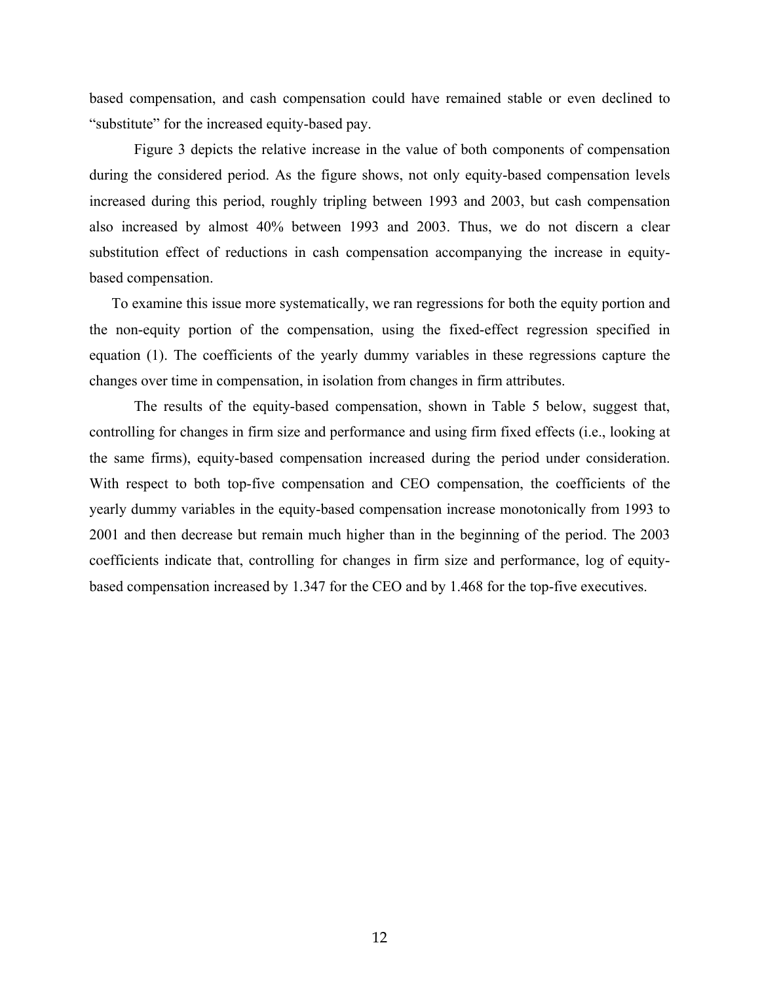based compensation, and cash compensation could have remained stable or even declined to "substitute" for the increased equity-based pay.

Figure 3 depicts the relative increase in the value of both components of compensation during the considered period. As the figure shows, not only equity-based compensation levels increased during this period, roughly tripling between 1993 and 2003, but cash compensation also increased by almost 40% between 1993 and 2003. Thus, we do not discern a clear substitution effect of reductions in cash compensation accompanying the increase in equitybased compensation.

To examine this issue more systematically, we ran regressions for both the equity portion and the non-equity portion of the compensation, using the fixed-effect regression specified in equation (1). The coefficients of the yearly dummy variables in these regressions capture the changes over time in compensation, in isolation from changes in firm attributes.

The results of the equity-based compensation, shown in Table 5 below, suggest that, controlling for changes in firm size and performance and using firm fixed effects (i.e., looking at the same firms), equity-based compensation increased during the period under consideration. With respect to both top-five compensation and CEO compensation, the coefficients of the yearly dummy variables in the equity-based compensation increase monotonically from 1993 to 2001 and then decrease but remain much higher than in the beginning of the period. The 2003 coefficients indicate that, controlling for changes in firm size and performance, log of equitybased compensation increased by 1.347 for the CEO and by 1.468 for the top-five executives.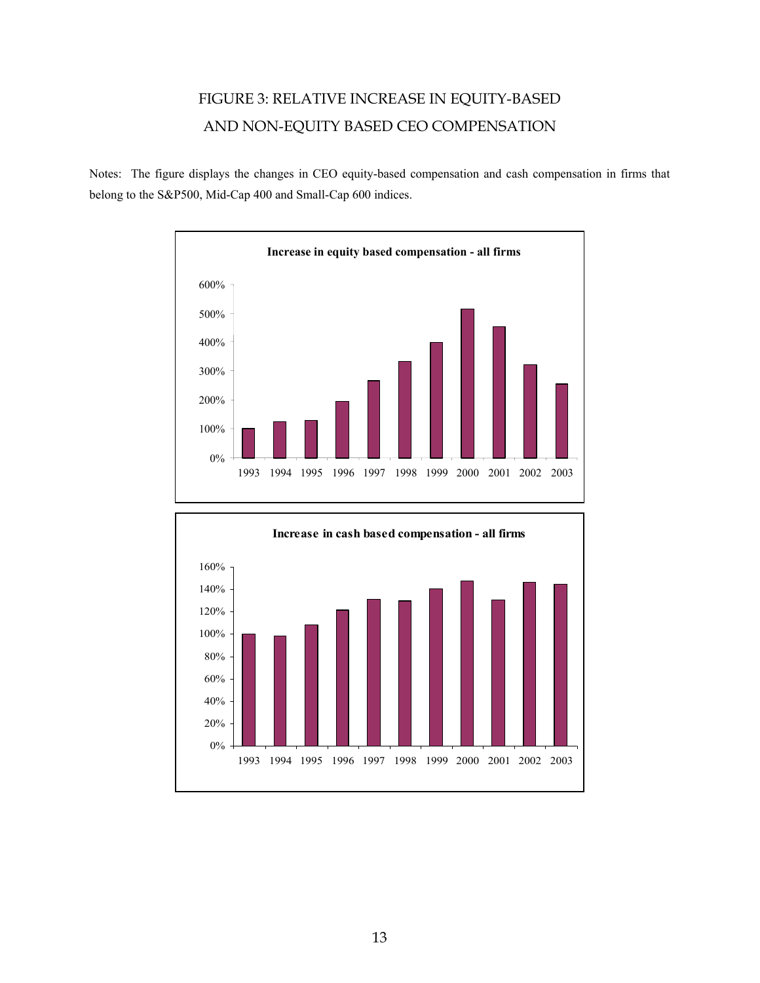# FIGURE 3: RELATIVE INCREASE IN EQUITY-BASED AND NON-EQUITY BASED CEO COMPENSATION

Notes: The figure displays the changes in CEO equity-based compensation and cash compensation in firms that belong to the S&P500, Mid-Cap 400 and Small-Cap 600 indices.

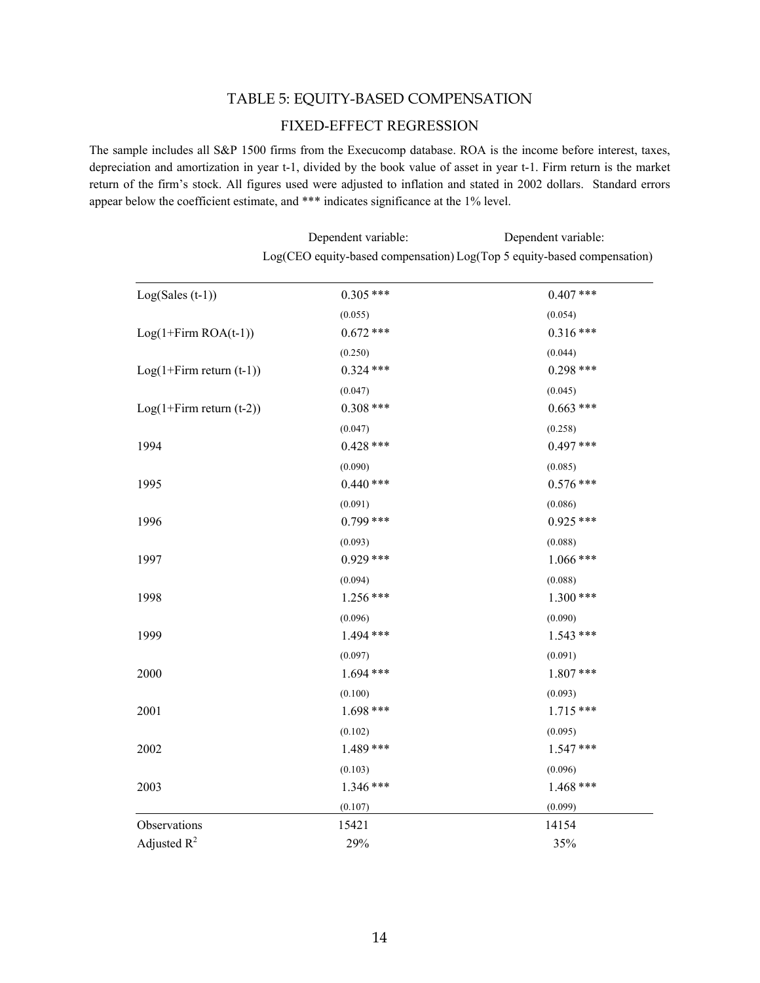# TABLE 5: EQUITY-BASED COMPENSATION

# FIXED-EFFECT REGRESSION

The sample includes all S&P 1500 firms from the Execucomp database. ROA is the income before interest, taxes, depreciation and amortization in year t-1, divided by the book value of asset in year t-1. Firm return is the market return of the firm's stock. All figures used were adjusted to inflation and stated in 2002 dollars. Standard errors appear below the coefficient estimate, and \*\*\* indicates significance at the 1% level.

| $Log(Sales(t-1))$            | $0.305$ ***      | $0.407$ ***      |
|------------------------------|------------------|------------------|
|                              | (0.055)          | (0.054)          |
| $Log(1+Firm ROA(t-1))$       | $0.672$ ***      | $0.316***$       |
|                              | (0.250)          | (0.044)          |
| $Log(1+Firm return (t-1))$   | $0.324$ ***      | $0.298$ ***      |
|                              | (0.047)          | (0.045)          |
| $Log(1 + Firm return (t-2))$ | $0.308$ ***      | $0.663$ ***      |
|                              | (0.047)          | (0.258)          |
| 1994                         | $0.428$ ***      | $0.497$ ***      |
|                              |                  |                  |
|                              | (0.090)          | (0.085)          |
| 1995                         | $0.440$ ***      | $0.576$ ***      |
|                              | (0.091)          | (0.086)          |
| 1996                         | $0.799$ ***      | $0.925$ ***      |
|                              | (0.093)          | (0.088)          |
| 1997                         | $0.929$ ***      | $1.066$ ***      |
|                              | (0.094)          | (0.088)          |
| 1998                         | $1.256$ ***      | $1.300$ ***      |
|                              | (0.096)          | (0.090)          |
| 1999                         | $1.494$ ***      | $1.543$ ***      |
|                              | (0.097)          | (0.091)          |
| 2000                         | $1.694$ ***      | $1.807$ ***      |
|                              | (0.100)          | (0.093)          |
| 2001                         | $1.698$ ***      | $1.715***$       |
|                              | (0.102)          | (0.095)          |
| 2002                         | 1.489 ***        | $1.547$ ***      |
|                              | (0.103)          | (0.096)          |
| 2003                         | $1.346$ ***      | $1.468$ ***      |
|                              |                  |                  |
| Observations                 | (0.107)<br>15421 | (0.099)<br>14154 |
| Adjusted $R^2$               | 29%              | 35%              |

 Dependent variable: Dependent variable: Log(CEO equity-based compensation) Log(Top 5 equity-based compensation)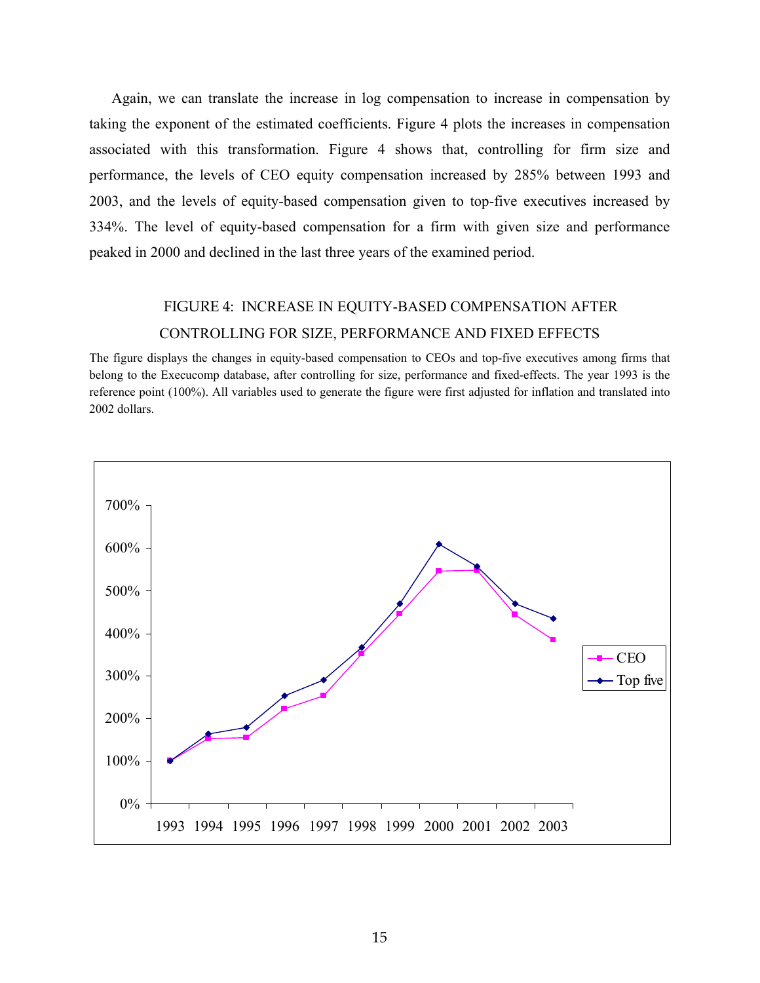Again, we can translate the increase in log compensation to increase in compensation by taking the exponent of the estimated coefficients. Figure 4 plots the increases in compensation associated with this transformation. Figure 4 shows that, controlling for firm size and performance, the levels of CEO equity compensation increased by 285% between 1993 and 2003, and the levels of equity-based compensation given to top-five executives increased by 334%. The level of equity-based compensation for a firm with given size and performance peaked in 2000 and declined in the last three years of the examined period.

# FIGURE 4: INCREASE IN EQUITY-BASED COMPENSATION AFTER CONTROLLING FOR SIZE, PERFORMANCE AND FIXED EFFECTS

The figure displays the changes in equity-based compensation to CEOs and top-five executives among firms that belong to the Execucomp database, after controlling for size, performance and fixed-effects. The year 1993 is the reference point (100%). All variables used to generate the figure were first adjusted for inflation and translated into 2002 dollars.

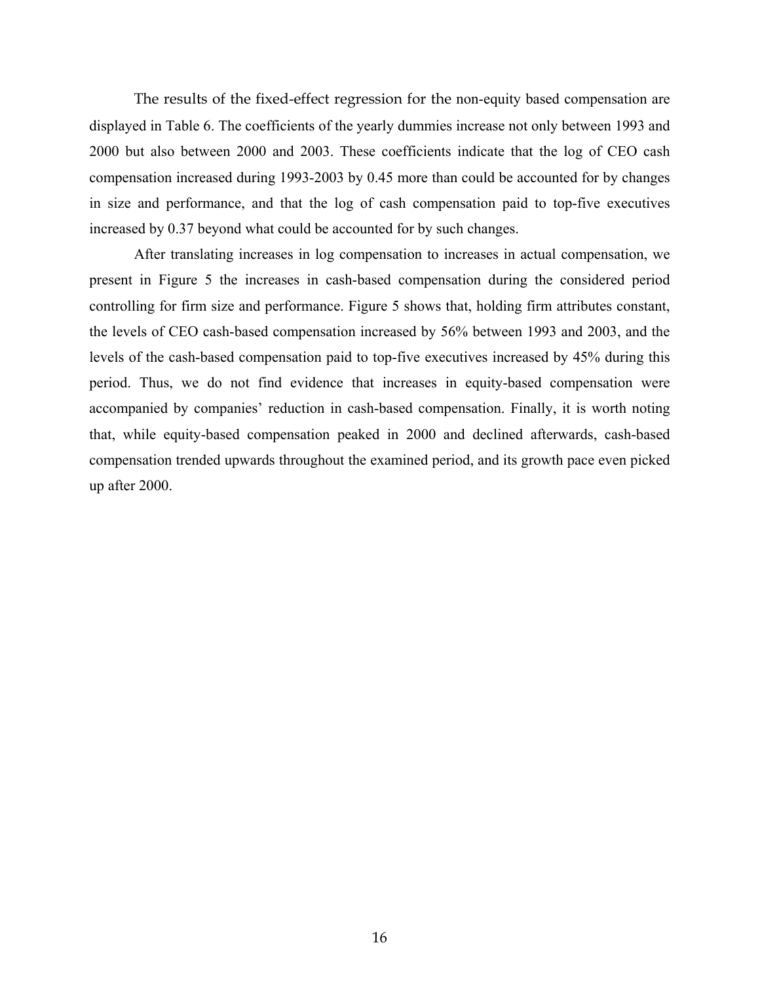The results of the fixed-effect regression for the non-equity based compensation are displayed in Table 6. The coefficients of the yearly dummies increase not only between 1993 and 2000 but also between 2000 and 2003. These coefficients indicate that the log of CEO cash compensation increased during 1993-2003 by 0.45 more than could be accounted for by changes in size and performance, and that the log of cash compensation paid to top-five executives increased by 0.37 beyond what could be accounted for by such changes.

After translating increases in log compensation to increases in actual compensation, we present in Figure 5 the increases in cash-based compensation during the considered period controlling for firm size and performance. Figure 5 shows that, holding firm attributes constant, the levels of CEO cash-based compensation increased by 56% between 1993 and 2003, and the levels of the cash-based compensation paid to top-five executives increased by 45% during this period. Thus, we do not find evidence that increases in equity-based compensation were accompanied by companies' reduction in cash-based compensation. Finally, it is worth noting that, while equity-based compensation peaked in 2000 and declined afterwards, cash-based compensation trended upwards throughout the examined period, and its growth pace even picked up after 2000.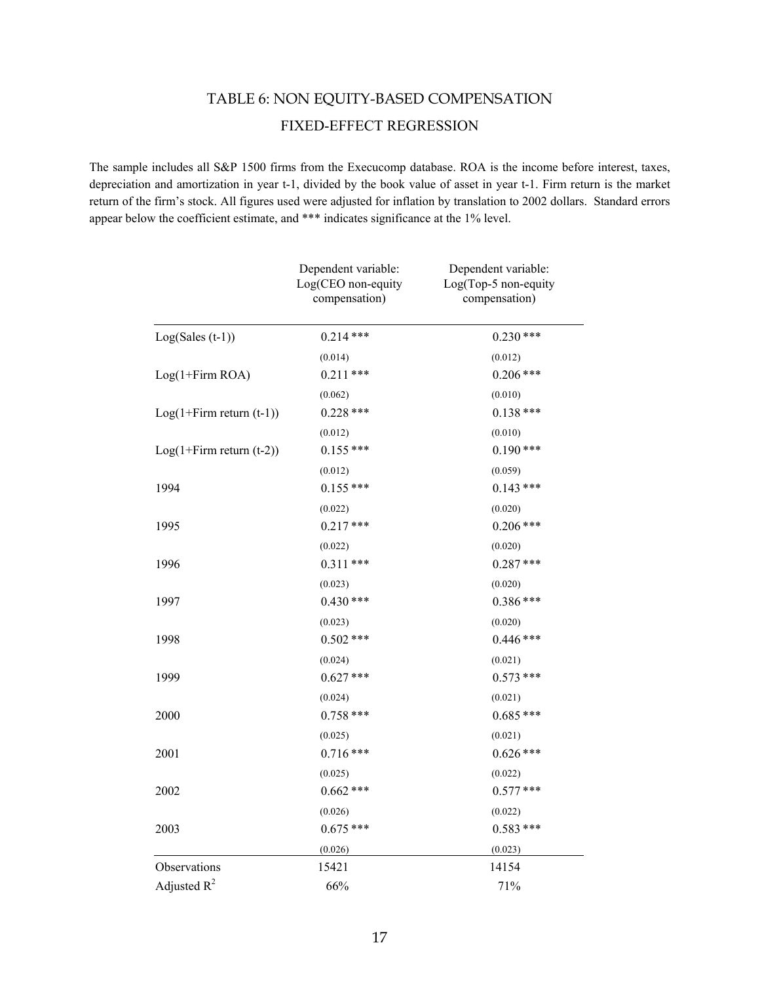# TABLE 6: NON EQUITY-BASED COMPENSATION FIXED-EFFECT REGRESSION

The sample includes all S&P 1500 firms from the Execucomp database. ROA is the income before interest, taxes, depreciation and amortization in year t-1, divided by the book value of asset in year t-1. Firm return is the market return of the firm's stock. All figures used were adjusted for inflation by translation to 2002 dollars. Standard errors appear below the coefficient estimate, and \*\*\* indicates significance at the 1% level.

|                              | Dependent variable:<br>Log(CEO non-equity<br>compensation) | Dependent variable:<br>Log(Top-5 non-equity<br>compensation) |
|------------------------------|------------------------------------------------------------|--------------------------------------------------------------|
| $Log(Sales(t-1))$            | $0.214***$                                                 | $0.230$ ***                                                  |
|                              | (0.014)                                                    | (0.012)                                                      |
| Log(1+Firm ROA)              | $0.211***$                                                 | $0.206$ ***                                                  |
|                              | (0.062)                                                    | (0.010)                                                      |
| $Log(1 + Firm return (t-1))$ | $0.228$ ***                                                | $0.138***$                                                   |
|                              | (0.012)                                                    | (0.010)                                                      |
| $Log(1 + Firm return (t-2))$ | $0.155***$                                                 | $0.190$ ***                                                  |
|                              | (0.012)                                                    | (0.059)                                                      |
| 1994                         | $0.155$ ***                                                | $0.143$ ***                                                  |
|                              | (0.022)                                                    | (0.020)                                                      |
| 1995                         | $0.217***$                                                 | $0.206$ ***                                                  |
|                              | (0.022)                                                    | (0.020)                                                      |
| 1996                         | $0.311***$                                                 | $0.287$ ***                                                  |
|                              | (0.023)                                                    | (0.020)                                                      |
| 1997                         | $0.430***$                                                 | $0.386***$                                                   |
|                              | (0.023)                                                    | (0.020)                                                      |
| 1998                         | $0.502$ ***                                                | $0.446$ ***                                                  |
|                              | (0.024)                                                    | (0.021)                                                      |
| 1999                         | $0.627$ ***                                                | $0.573$ ***                                                  |
|                              | (0.024)                                                    | (0.021)                                                      |
| 2000                         | $0.758$ ***                                                | $0.685***$                                                   |
|                              | (0.025)                                                    | (0.021)                                                      |
| 2001                         | $0.716***$                                                 | $0.626$ ***                                                  |
|                              | (0.025)                                                    | (0.022)                                                      |
| 2002                         | $0.662$ ***                                                | $0.577$ ***                                                  |
|                              | (0.026)                                                    | (0.022)                                                      |
| 2003                         | $0.675$ ***                                                | $0.583$ ***                                                  |
|                              | (0.026)                                                    | (0.023)                                                      |
| Observations                 | 15421                                                      | 14154                                                        |
| Adjusted $R^2$               | 66%                                                        | 71%                                                          |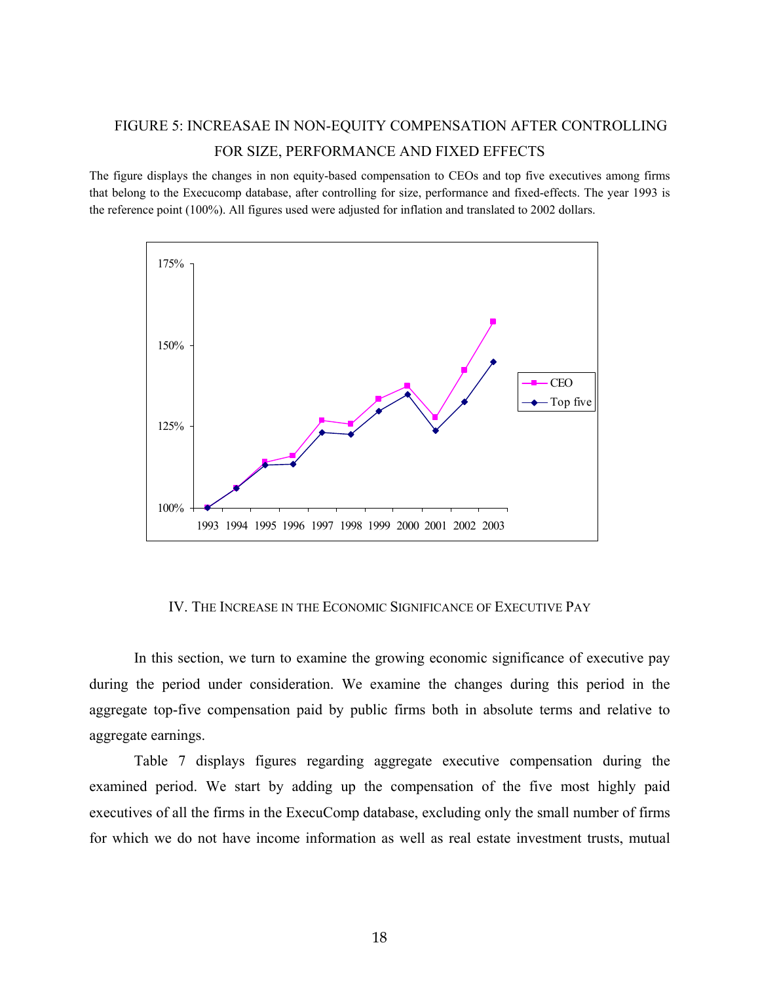# FIGURE 5: INCREASAE IN NON-EQUITY COMPENSATION AFTER CONTROLLING FOR SIZE, PERFORMANCE AND FIXED EFFECTS

The figure displays the changes in non equity-based compensation to CEOs and top five executives among firms that belong to the Execucomp database, after controlling for size, performance and fixed-effects. The year 1993 is the reference point (100%). All figures used were adjusted for inflation and translated to 2002 dollars.



IV. THE INCREASE IN THE ECONOMIC SIGNIFICANCE OF EXECUTIVE PAY

In this section, we turn to examine the growing economic significance of executive pay during the period under consideration. We examine the changes during this period in the aggregate top-five compensation paid by public firms both in absolute terms and relative to aggregate earnings.

Table 7 displays figures regarding aggregate executive compensation during the examined period. We start by adding up the compensation of the five most highly paid executives of all the firms in the ExecuComp database, excluding only the small number of firms for which we do not have income information as well as real estate investment trusts, mutual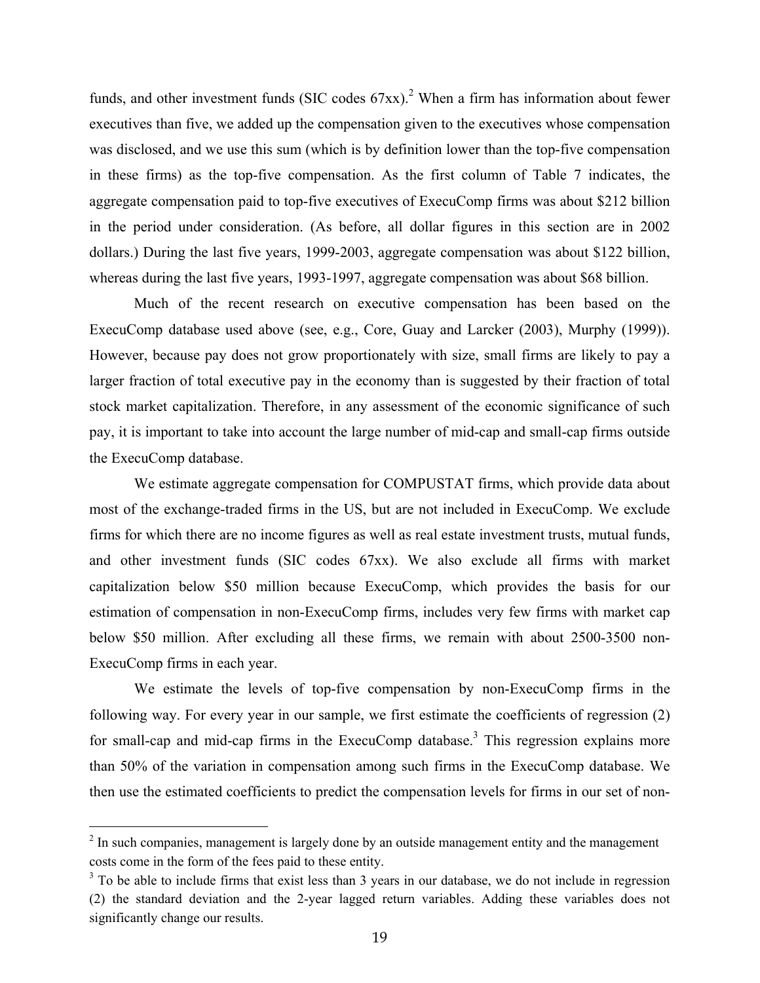funds, and other investment funds  $(SIC \text{ codes } 67xx)$ .<sup>2</sup> When a firm has information about fewer executives than five, we added up the compensation given to the executives whose compensation was disclosed, and we use this sum (which is by definition lower than the top-five compensation in these firms) as the top-five compensation. As the first column of Table 7 indicates, the aggregate compensation paid to top-five executives of ExecuComp firms was about \$212 billion in the period under consideration. (As before, all dollar figures in this section are in 2002 dollars.) During the last five years, 1999-2003, aggregate compensation was about \$122 billion, whereas during the last five years, 1993-1997, aggregate compensation was about \$68 billion.

Much of the recent research on executive compensation has been based on the ExecuComp database used above (see, e.g., Core, Guay and Larcker (2003), Murphy (1999)). However, because pay does not grow proportionately with size, small firms are likely to pay a larger fraction of total executive pay in the economy than is suggested by their fraction of total stock market capitalization. Therefore, in any assessment of the economic significance of such pay, it is important to take into account the large number of mid-cap and small-cap firms outside the ExecuComp database.

We estimate aggregate compensation for COMPUSTAT firms, which provide data about most of the exchange-traded firms in the US, but are not included in ExecuComp. We exclude firms for which there are no income figures as well as real estate investment trusts, mutual funds, and other investment funds (SIC codes 67xx). We also exclude all firms with market capitalization below \$50 million because ExecuComp, which provides the basis for our estimation of compensation in non-ExecuComp firms, includes very few firms with market cap below \$50 million. After excluding all these firms, we remain with about 2500-3500 non-ExecuComp firms in each year.

We estimate the levels of top-five compensation by non-ExecuComp firms in the following way. For every year in our sample, we first estimate the coefficients of regression (2) for small-cap and mid-cap firms in the ExecuComp database.<sup>3</sup> This regression explains more than 50% of the variation in compensation among such firms in the ExecuComp database. We then use the estimated coefficients to predict the compensation levels for firms in our set of non-

-

 $2<sup>2</sup>$  In such companies, management is largely done by an outside management entity and the management costs come in the form of the fees paid to these entity.

<sup>&</sup>lt;sup>3</sup> To be able to include firms that exist less than 3 years in our database, we do not include in regression (2) the standard deviation and the 2-year lagged return variables. Adding these variables does not significantly change our results.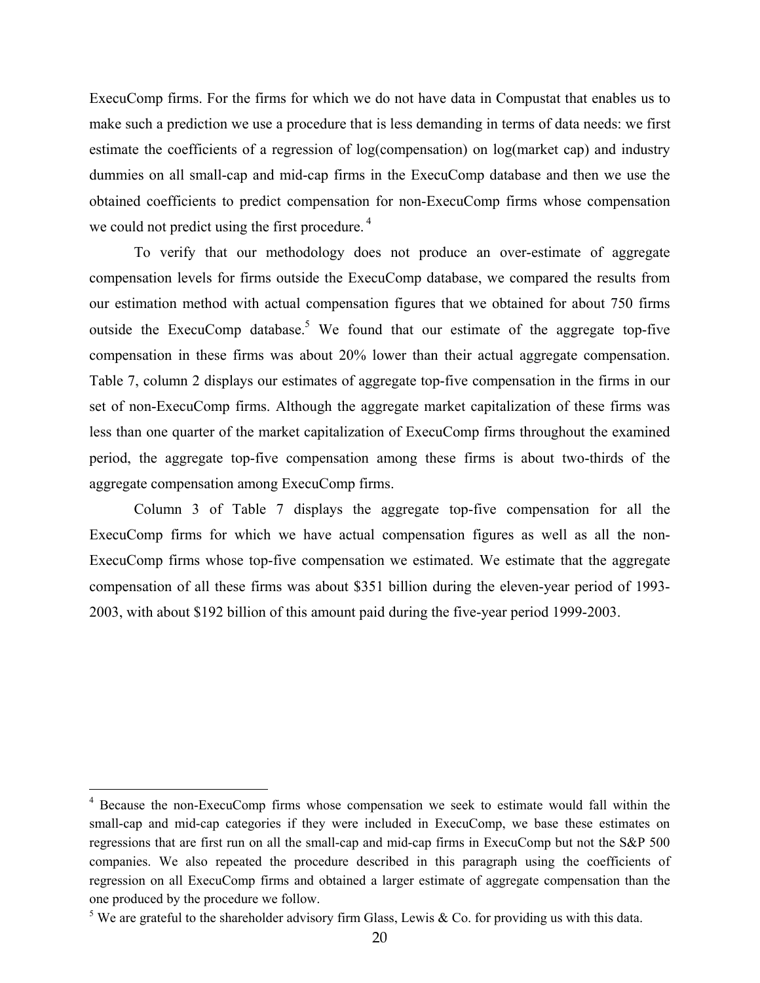ExecuComp firms. For the firms for which we do not have data in Compustat that enables us to make such a prediction we use a procedure that is less demanding in terms of data needs: we first estimate the coefficients of a regression of log(compensation) on log(market cap) and industry dummies on all small-cap and mid-cap firms in the ExecuComp database and then we use the obtained coefficients to predict compensation for non-ExecuComp firms whose compensation we could not predict using the first procedure.<sup>4</sup>

To verify that our methodology does not produce an over-estimate of aggregate compensation levels for firms outside the ExecuComp database, we compared the results from our estimation method with actual compensation figures that we obtained for about 750 firms outside the ExecuComp database.<sup>5</sup> We found that our estimate of the aggregate top-five compensation in these firms was about 20% lower than their actual aggregate compensation. Table 7, column 2 displays our estimates of aggregate top-five compensation in the firms in our set of non-ExecuComp firms. Although the aggregate market capitalization of these firms was less than one quarter of the market capitalization of ExecuComp firms throughout the examined period, the aggregate top-five compensation among these firms is about two-thirds of the aggregate compensation among ExecuComp firms.

Column 3 of Table 7 displays the aggregate top-five compensation for all the ExecuComp firms for which we have actual compensation figures as well as all the non-ExecuComp firms whose top-five compensation we estimated. We estimate that the aggregate compensation of all these firms was about \$351 billion during the eleven-year period of 1993- 2003, with about \$192 billion of this amount paid during the five-year period 1999-2003.

 $\overline{a}$ 

<sup>&</sup>lt;sup>4</sup> Because the non-ExecuComp firms whose compensation we seek to estimate would fall within the small-cap and mid-cap categories if they were included in ExecuComp, we base these estimates on regressions that are first run on all the small-cap and mid-cap firms in ExecuComp but not the S&P 500 companies. We also repeated the procedure described in this paragraph using the coefficients of regression on all ExecuComp firms and obtained a larger estimate of aggregate compensation than the one produced by the procedure we follow.

<sup>&</sup>lt;sup>5</sup> We are grateful to the shareholder advisory firm Glass, Lewis & Co. for providing us with this data.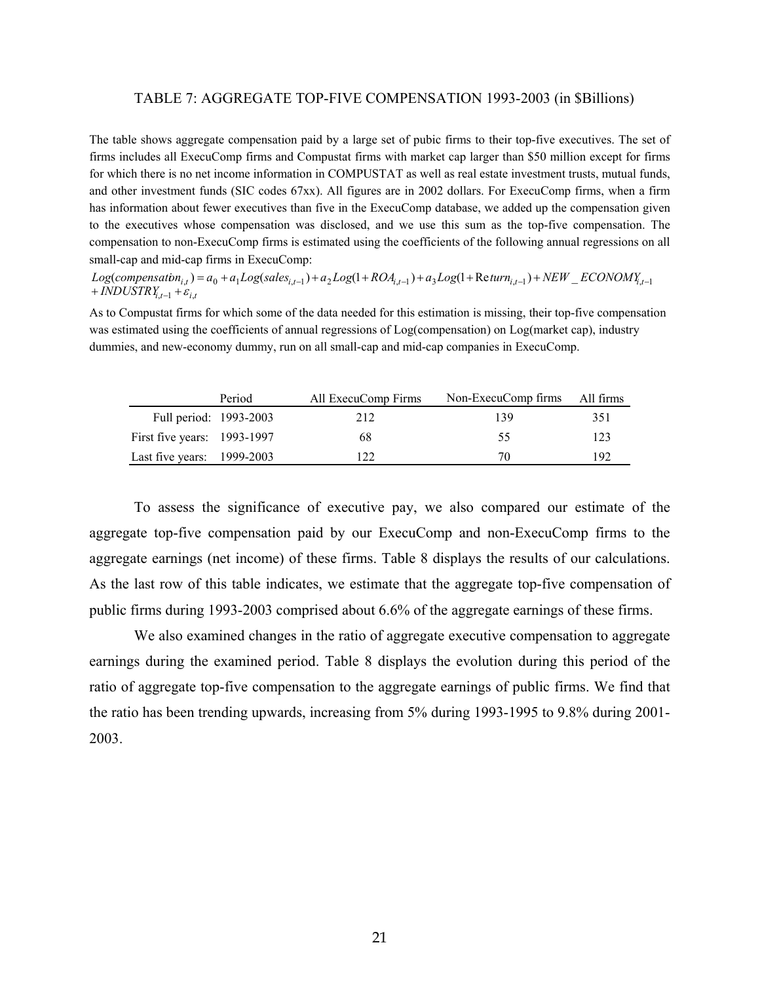### TABLE 7: AGGREGATE TOP-FIVE COMPENSATION 1993-2003 (in \$Billions)

The table shows aggregate compensation paid by a large set of pubic firms to their top-five executives. The set of firms includes all ExecuComp firms and Compustat firms with market cap larger than \$50 million except for firms for which there is no net income information in COMPUSTAT as well as real estate investment trusts, mutual funds, and other investment funds (SIC codes 67xx). All figures are in 2002 dollars. For ExecuComp firms, when a firm has information about fewer executives than five in the ExecuComp database, we added up the compensation given to the executives whose compensation was disclosed, and we use this sum as the top-five compensation. The compensation to non-ExecuComp firms is estimated using the coefficients of the following annual regressions on all small-cap and mid-cap firms in ExecuComp:

 $+iNDUSTRY_{i,t-1} + \varepsilon_{i,t}$  $Log(compensation_{i,t}) = a_0 + a_1 Log(sales_{i,t-1}) + a_2 Log(1 + ROA_{i,t-1}) + a_3 Log(1 + Return_{i,t-1}) + NEW\_ECONOMY_{i,t-1}$ 

As to Compustat firms for which some of the data needed for this estimation is missing, their top-five compensation was estimated using the coefficients of annual regressions of Log(compensation) on Log(market cap), industry dummies, and new-economy dummy, run on all small-cap and mid-cap companies in ExecuComp.

|                               | Period | All ExecuComp Firms | Non-ExecuComp firms | All firms |
|-------------------------------|--------|---------------------|---------------------|-----------|
| Full period: 1993-2003        |        | 212                 | 139                 | 351       |
| First five years: $1993-1997$ |        | 68                  | 55                  | 123       |
| Last five years: $1999-2003$  |        |                     | 70                  | 192       |

To assess the significance of executive pay, we also compared our estimate of the aggregate top-five compensation paid by our ExecuComp and non-ExecuComp firms to the aggregate earnings (net income) of these firms. Table 8 displays the results of our calculations. As the last row of this table indicates, we estimate that the aggregate top-five compensation of public firms during 1993-2003 comprised about 6.6% of the aggregate earnings of these firms.

We also examined changes in the ratio of aggregate executive compensation to aggregate earnings during the examined period. Table 8 displays the evolution during this period of the ratio of aggregate top-five compensation to the aggregate earnings of public firms. We find that the ratio has been trending upwards, increasing from 5% during 1993-1995 to 9.8% during 2001- 2003.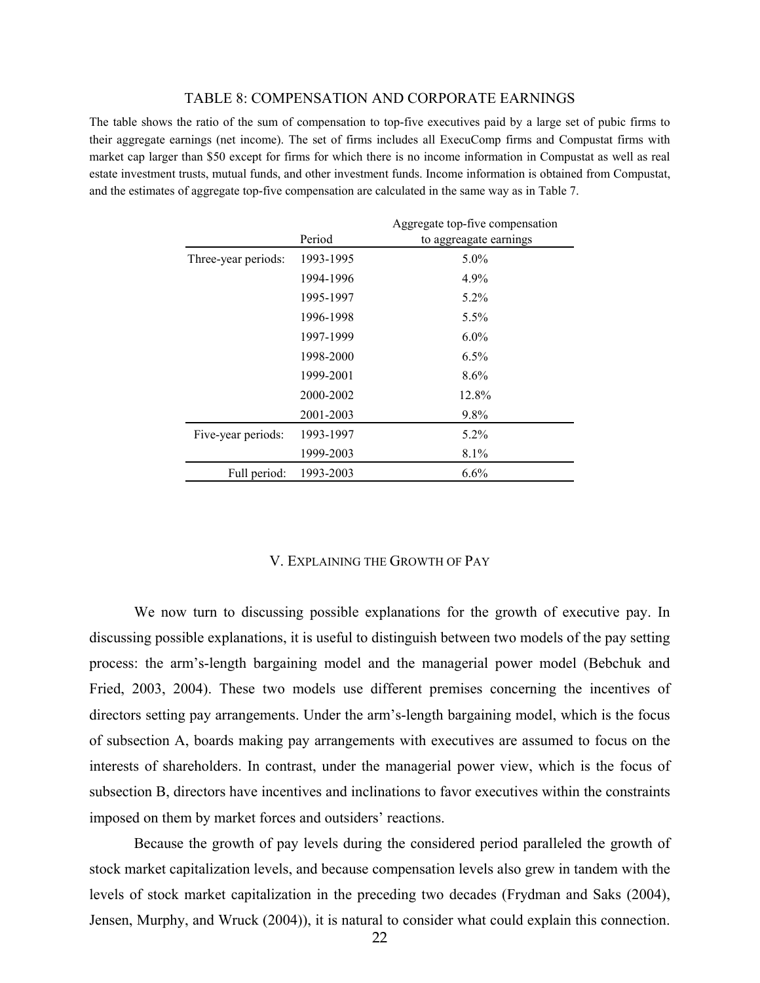### TABLE 8: COMPENSATION AND CORPORATE EARNINGS

The table shows the ratio of the sum of compensation to top-five executives paid by a large set of pubic firms to their aggregate earnings (net income). The set of firms includes all ExecuComp firms and Compustat firms with market cap larger than \$50 except for firms for which there is no income information in Compustat as well as real estate investment trusts, mutual funds, and other investment funds. Income information is obtained from Compustat, and the estimates of aggregate top-five compensation are calculated in the same way as in Table 7.

|           | Aggregate top-five compensation |
|-----------|---------------------------------|
| Period    | to aggreagate earnings          |
| 1993-1995 | $5.0\%$                         |
| 1994-1996 | 4.9%                            |
| 1995-1997 | 5.2%                            |
| 1996-1998 | 5.5%                            |
| 1997-1999 | $6.0\%$                         |
| 1998-2000 | $6.5\%$                         |
| 1999-2001 | $8.6\%$                         |
| 2000-2002 | 12.8%                           |
| 2001-2003 | 9.8%                            |
| 1993-1997 | $5.2\%$                         |
| 1999-2003 | 8.1%                            |
| 1993-2003 | 6.6%                            |
|           |                                 |

### V. EXPLAINING THE GROWTH OF PAY

 We now turn to discussing possible explanations for the growth of executive pay. In discussing possible explanations, it is useful to distinguish between two models of the pay setting process: the arm's-length bargaining model and the managerial power model (Bebchuk and Fried, 2003, 2004). These two models use different premises concerning the incentives of directors setting pay arrangements. Under the arm's-length bargaining model, which is the focus of subsection A, boards making pay arrangements with executives are assumed to focus on the interests of shareholders. In contrast, under the managerial power view, which is the focus of subsection B, directors have incentives and inclinations to favor executives within the constraints imposed on them by market forces and outsiders' reactions.

 Because the growth of pay levels during the considered period paralleled the growth of stock market capitalization levels, and because compensation levels also grew in tandem with the levels of stock market capitalization in the preceding two decades (Frydman and Saks (2004), Jensen, Murphy, and Wruck (2004)), it is natural to consider what could explain this connection.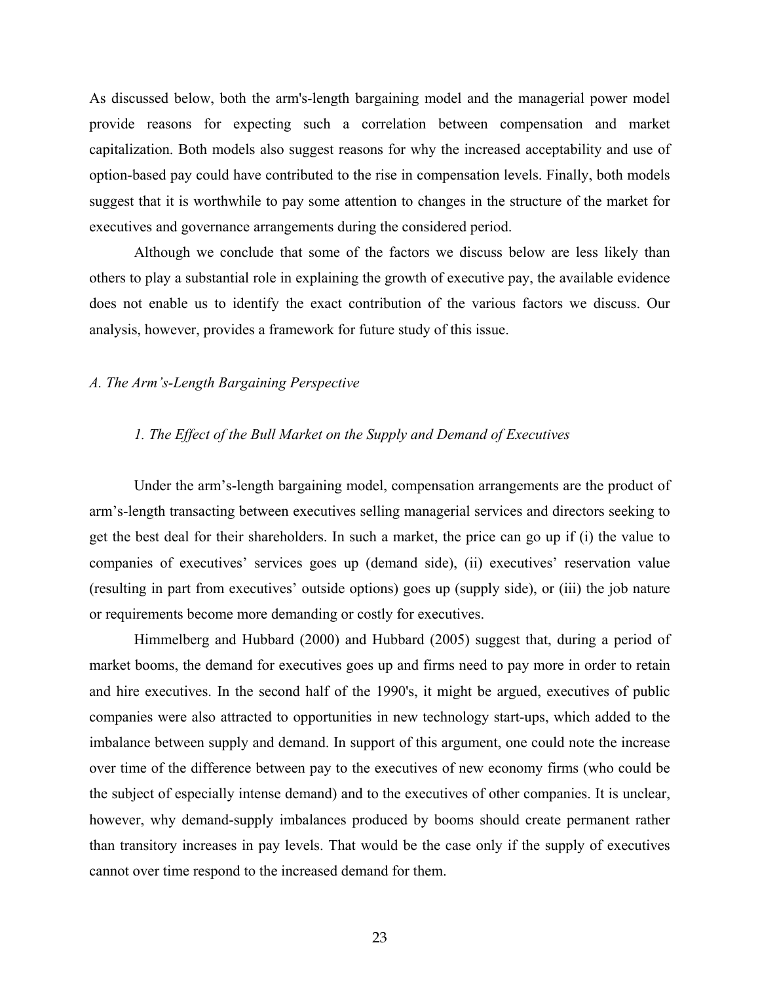As discussed below, both the arm's-length bargaining model and the managerial power model provide reasons for expecting such a correlation between compensation and market capitalization. Both models also suggest reasons for why the increased acceptability and use of option-based pay could have contributed to the rise in compensation levels. Finally, both models suggest that it is worthwhile to pay some attention to changes in the structure of the market for executives and governance arrangements during the considered period.

 Although we conclude that some of the factors we discuss below are less likely than others to play a substantial role in explaining the growth of executive pay, the available evidence does not enable us to identify the exact contribution of the various factors we discuss. Our analysis, however, provides a framework for future study of this issue.

### *A. The Arm's-Length Bargaining Perspective*

## *1. The Effect of the Bull Market on the Supply and Demand of Executives*

 Under the arm's-length bargaining model, compensation arrangements are the product of arm's-length transacting between executives selling managerial services and directors seeking to get the best deal for their shareholders. In such a market, the price can go up if (i) the value to companies of executives' services goes up (demand side), (ii) executives' reservation value (resulting in part from executives' outside options) goes up (supply side), or (iii) the job nature or requirements become more demanding or costly for executives.

Himmelberg and Hubbard (2000) and Hubbard (2005) suggest that, during a period of market booms, the demand for executives goes up and firms need to pay more in order to retain and hire executives. In the second half of the 1990's, it might be argued, executives of public companies were also attracted to opportunities in new technology start-ups, which added to the imbalance between supply and demand. In support of this argument, one could note the increase over time of the difference between pay to the executives of new economy firms (who could be the subject of especially intense demand) and to the executives of other companies. It is unclear, however, why demand-supply imbalances produced by booms should create permanent rather than transitory increases in pay levels. That would be the case only if the supply of executives cannot over time respond to the increased demand for them.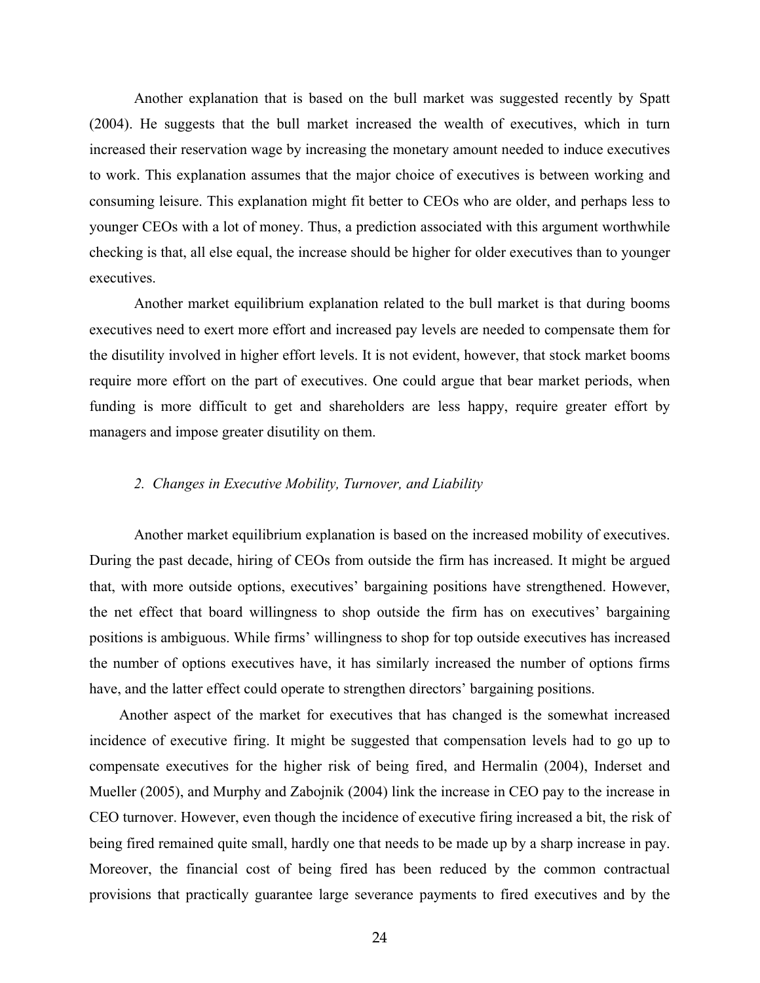Another explanation that is based on the bull market was suggested recently by Spatt (2004). He suggests that the bull market increased the wealth of executives, which in turn increased their reservation wage by increasing the monetary amount needed to induce executives to work. This explanation assumes that the major choice of executives is between working and consuming leisure. This explanation might fit better to CEOs who are older, and perhaps less to younger CEOs with a lot of money. Thus, a prediction associated with this argument worthwhile checking is that, all else equal, the increase should be higher for older executives than to younger executives.

Another market equilibrium explanation related to the bull market is that during booms executives need to exert more effort and increased pay levels are needed to compensate them for the disutility involved in higher effort levels. It is not evident, however, that stock market booms require more effort on the part of executives. One could argue that bear market periods, when funding is more difficult to get and shareholders are less happy, require greater effort by managers and impose greater disutility on them.

## *2. Changes in Executive Mobility, Turnover, and Liability*

Another market equilibrium explanation is based on the increased mobility of executives. During the past decade, hiring of CEOs from outside the firm has increased. It might be argued that, with more outside options, executives' bargaining positions have strengthened. However, the net effect that board willingness to shop outside the firm has on executives' bargaining positions is ambiguous. While firms' willingness to shop for top outside executives has increased the number of options executives have, it has similarly increased the number of options firms have, and the latter effect could operate to strengthen directors' bargaining positions.

Another aspect of the market for executives that has changed is the somewhat increased incidence of executive firing. It might be suggested that compensation levels had to go up to compensate executives for the higher risk of being fired, and Hermalin (2004), Inderset and Mueller (2005), and Murphy and Zabojnik (2004) link the increase in CEO pay to the increase in CEO turnover. However, even though the incidence of executive firing increased a bit, the risk of being fired remained quite small, hardly one that needs to be made up by a sharp increase in pay. Moreover, the financial cost of being fired has been reduced by the common contractual provisions that practically guarantee large severance payments to fired executives and by the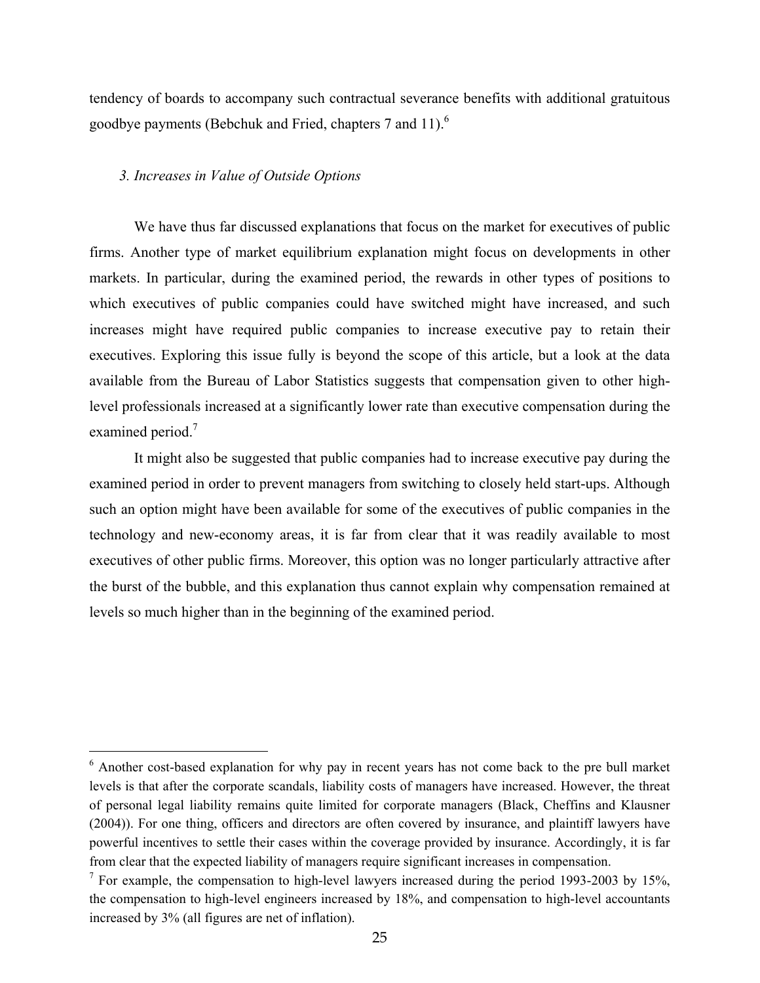tendency of boards to accompany such contractual severance benefits with additional gratuitous goodbye payments (Bebchuk and Fried, chapters 7 and 11).<sup>6</sup>

## *3. Increases in Value of Outside Options*

We have thus far discussed explanations that focus on the market for executives of public firms. Another type of market equilibrium explanation might focus on developments in other markets. In particular, during the examined period, the rewards in other types of positions to which executives of public companies could have switched might have increased, and such increases might have required public companies to increase executive pay to retain their executives. Exploring this issue fully is beyond the scope of this article, but a look at the data available from the Bureau of Labor Statistics suggests that compensation given to other highlevel professionals increased at a significantly lower rate than executive compensation during the examined period.<sup>7</sup>

 It might also be suggested that public companies had to increase executive pay during the examined period in order to prevent managers from switching to closely held start-ups. Although such an option might have been available for some of the executives of public companies in the technology and new-economy areas, it is far from clear that it was readily available to most executives of other public firms. Moreover, this option was no longer particularly attractive after the burst of the bubble, and this explanation thus cannot explain why compensation remained at levels so much higher than in the beginning of the examined period.

 6 Another cost-based explanation for why pay in recent years has not come back to the pre bull market levels is that after the corporate scandals, liability costs of managers have increased. However, the threat of personal legal liability remains quite limited for corporate managers (Black, Cheffins and Klausner (2004)). For one thing, officers and directors are often covered by insurance, and plaintiff lawyers have powerful incentives to settle their cases within the coverage provided by insurance. Accordingly, it is far from clear that the expected liability of managers require significant increases in compensation.

<sup>&</sup>lt;sup>7</sup> For example, the compensation to high-level lawyers increased during the period 1993-2003 by 15%, the compensation to high-level engineers increased by 18%, and compensation to high-level accountants increased by 3% (all figures are net of inflation).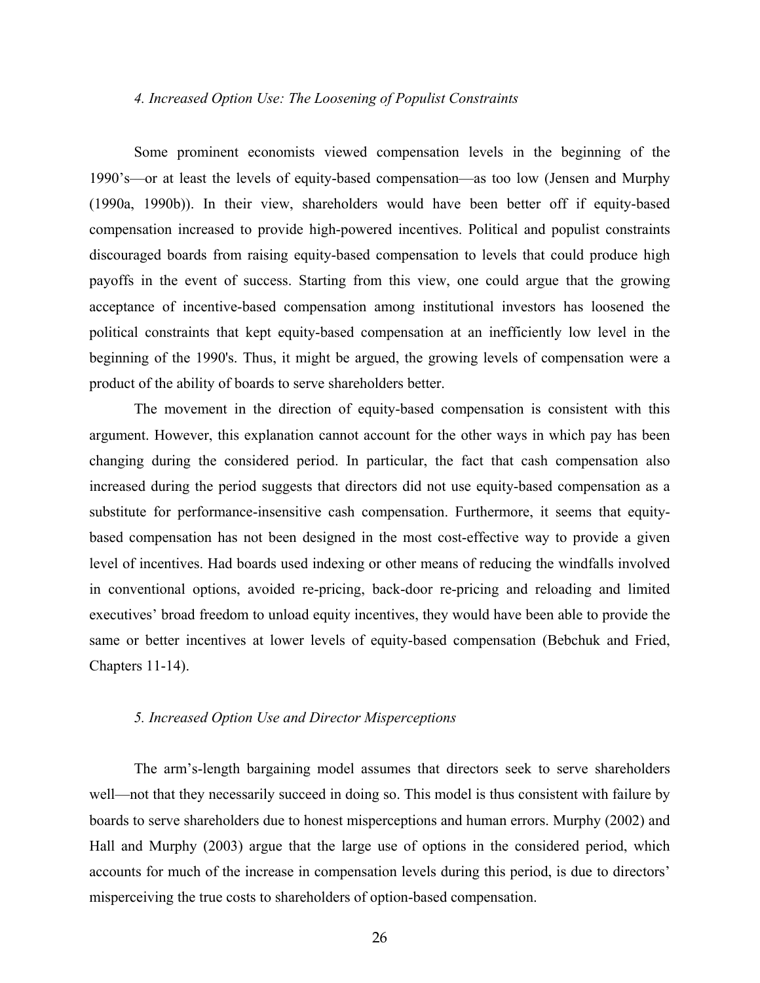### *4. Increased Option Use: The Loosening of Populist Constraints*

Some prominent economists viewed compensation levels in the beginning of the 1990's—or at least the levels of equity-based compensation—as too low (Jensen and Murphy (1990a, 1990b)). In their view, shareholders would have been better off if equity-based compensation increased to provide high-powered incentives. Political and populist constraints discouraged boards from raising equity-based compensation to levels that could produce high payoffs in the event of success. Starting from this view, one could argue that the growing acceptance of incentive-based compensation among institutional investors has loosened the political constraints that kept equity-based compensation at an inefficiently low level in the beginning of the 1990's. Thus, it might be argued, the growing levels of compensation were a product of the ability of boards to serve shareholders better.

The movement in the direction of equity-based compensation is consistent with this argument. However, this explanation cannot account for the other ways in which pay has been changing during the considered period. In particular, the fact that cash compensation also increased during the period suggests that directors did not use equity-based compensation as a substitute for performance-insensitive cash compensation. Furthermore, it seems that equitybased compensation has not been designed in the most cost-effective way to provide a given level of incentives. Had boards used indexing or other means of reducing the windfalls involved in conventional options, avoided re-pricing, back-door re-pricing and reloading and limited executives' broad freedom to unload equity incentives, they would have been able to provide the same or better incentives at lower levels of equity-based compensation (Bebchuk and Fried, Chapters 11-14).

### *5. Increased Option Use and Director Misperceptions*

The arm's-length bargaining model assumes that directors seek to serve shareholders well—not that they necessarily succeed in doing so. This model is thus consistent with failure by boards to serve shareholders due to honest misperceptions and human errors. Murphy (2002) and Hall and Murphy (2003) argue that the large use of options in the considered period, which accounts for much of the increase in compensation levels during this period, is due to directors' misperceiving the true costs to shareholders of option-based compensation.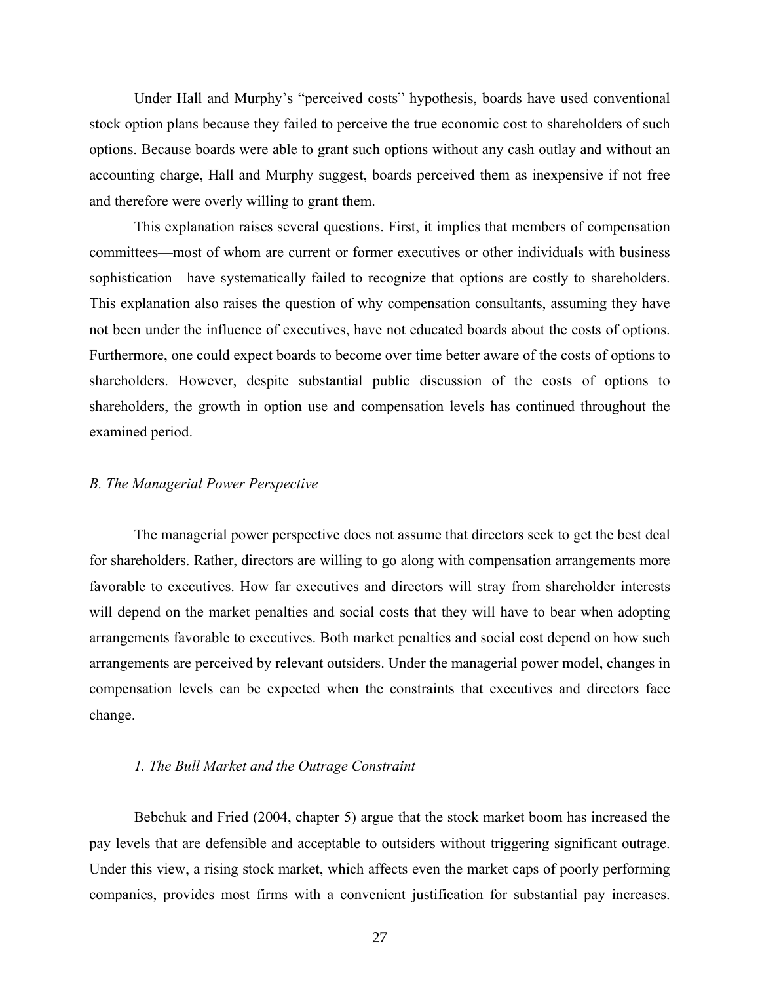Under Hall and Murphy's "perceived costs" hypothesis, boards have used conventional stock option plans because they failed to perceive the true economic cost to shareholders of such options. Because boards were able to grant such options without any cash outlay and without an accounting charge, Hall and Murphy suggest, boards perceived them as inexpensive if not free and therefore were overly willing to grant them.

This explanation raises several questions. First, it implies that members of compensation committees—most of whom are current or former executives or other individuals with business sophistication—have systematically failed to recognize that options are costly to shareholders. This explanation also raises the question of why compensation consultants, assuming they have not been under the influence of executives, have not educated boards about the costs of options. Furthermore, one could expect boards to become over time better aware of the costs of options to shareholders. However, despite substantial public discussion of the costs of options to shareholders, the growth in option use and compensation levels has continued throughout the examined period.

## *B. The Managerial Power Perspective*

The managerial power perspective does not assume that directors seek to get the best deal for shareholders. Rather, directors are willing to go along with compensation arrangements more favorable to executives. How far executives and directors will stray from shareholder interests will depend on the market penalties and social costs that they will have to bear when adopting arrangements favorable to executives. Both market penalties and social cost depend on how such arrangements are perceived by relevant outsiders. Under the managerial power model, changes in compensation levels can be expected when the constraints that executives and directors face change.

### *1. The Bull Market and the Outrage Constraint*

 Bebchuk and Fried (2004, chapter 5) argue that the stock market boom has increased the pay levels that are defensible and acceptable to outsiders without triggering significant outrage. Under this view, a rising stock market, which affects even the market caps of poorly performing companies, provides most firms with a convenient justification for substantial pay increases.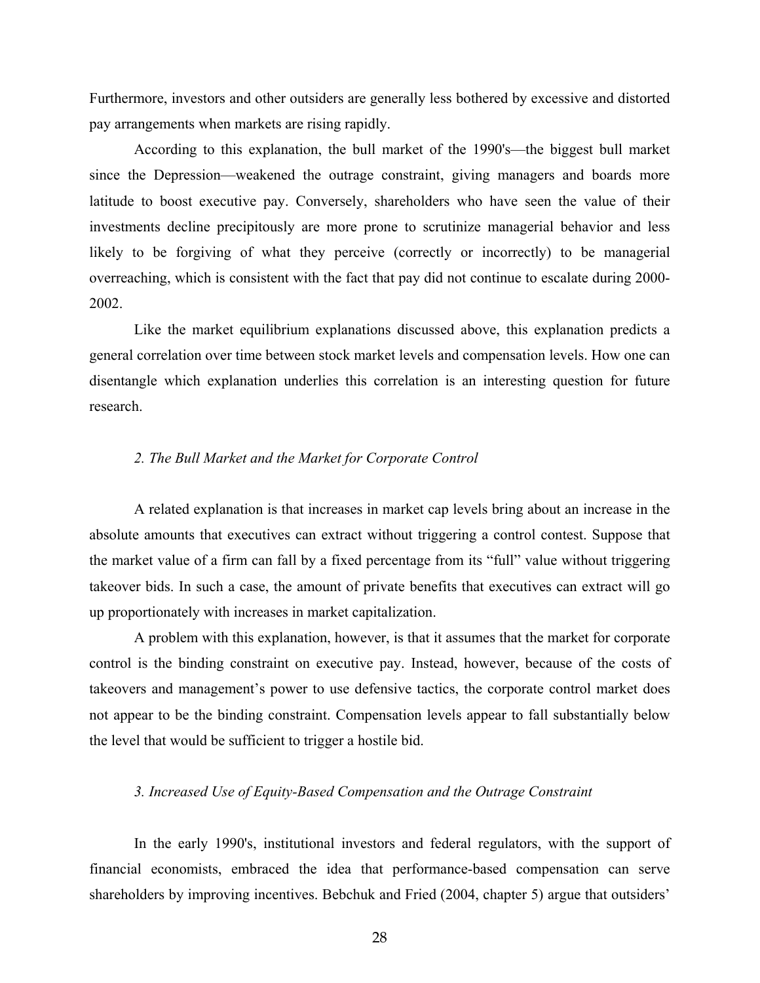Furthermore, investors and other outsiders are generally less bothered by excessive and distorted pay arrangements when markets are rising rapidly.

According to this explanation, the bull market of the 1990's—the biggest bull market since the Depression—weakened the outrage constraint, giving managers and boards more latitude to boost executive pay. Conversely, shareholders who have seen the value of their investments decline precipitously are more prone to scrutinize managerial behavior and less likely to be forgiving of what they perceive (correctly or incorrectly) to be managerial overreaching, which is consistent with the fact that pay did not continue to escalate during 2000- 2002.

Like the market equilibrium explanations discussed above, this explanation predicts a general correlation over time between stock market levels and compensation levels. How one can disentangle which explanation underlies this correlation is an interesting question for future research.

### *2. The Bull Market and the Market for Corporate Control*

 A related explanation is that increases in market cap levels bring about an increase in the absolute amounts that executives can extract without triggering a control contest. Suppose that the market value of a firm can fall by a fixed percentage from its "full" value without triggering takeover bids. In such a case, the amount of private benefits that executives can extract will go up proportionately with increases in market capitalization.

A problem with this explanation, however, is that it assumes that the market for corporate control is the binding constraint on executive pay. Instead, however, because of the costs of takeovers and management's power to use defensive tactics, the corporate control market does not appear to be the binding constraint. Compensation levels appear to fall substantially below the level that would be sufficient to trigger a hostile bid.

## *3. Increased Use of Equity-Based Compensation and the Outrage Constraint*

In the early 1990's, institutional investors and federal regulators, with the support of financial economists, embraced the idea that performance-based compensation can serve shareholders by improving incentives. Bebchuk and Fried (2004, chapter 5) argue that outsiders'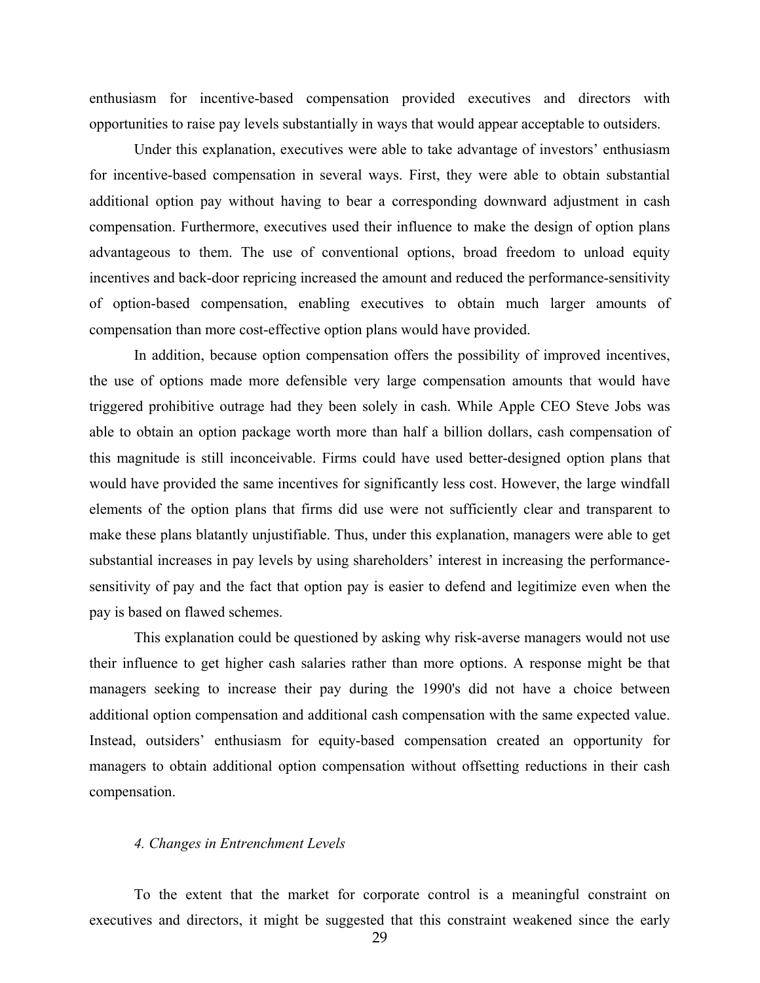enthusiasm for incentive-based compensation provided executives and directors with opportunities to raise pay levels substantially in ways that would appear acceptable to outsiders.

Under this explanation, executives were able to take advantage of investors' enthusiasm for incentive-based compensation in several ways. First, they were able to obtain substantial additional option pay without having to bear a corresponding downward adjustment in cash compensation. Furthermore, executives used their influence to make the design of option plans advantageous to them. The use of conventional options, broad freedom to unload equity incentives and back-door repricing increased the amount and reduced the performance-sensitivity of option-based compensation, enabling executives to obtain much larger amounts of compensation than more cost-effective option plans would have provided.

 In addition, because option compensation offers the possibility of improved incentives, the use of options made more defensible very large compensation amounts that would have triggered prohibitive outrage had they been solely in cash. While Apple CEO Steve Jobs was able to obtain an option package worth more than half a billion dollars, cash compensation of this magnitude is still inconceivable. Firms could have used better-designed option plans that would have provided the same incentives for significantly less cost. However, the large windfall elements of the option plans that firms did use were not sufficiently clear and transparent to make these plans blatantly unjustifiable. Thus, under this explanation, managers were able to get substantial increases in pay levels by using shareholders' interest in increasing the performancesensitivity of pay and the fact that option pay is easier to defend and legitimize even when the pay is based on flawed schemes.

 This explanation could be questioned by asking why risk-averse managers would not use their influence to get higher cash salaries rather than more options. A response might be that managers seeking to increase their pay during the 1990's did not have a choice between additional option compensation and additional cash compensation with the same expected value. Instead, outsiders' enthusiasm for equity-based compensation created an opportunity for managers to obtain additional option compensation without offsetting reductions in their cash compensation.

### *4. Changes in Entrenchment Levels*

To the extent that the market for corporate control is a meaningful constraint on executives and directors, it might be suggested that this constraint weakened since the early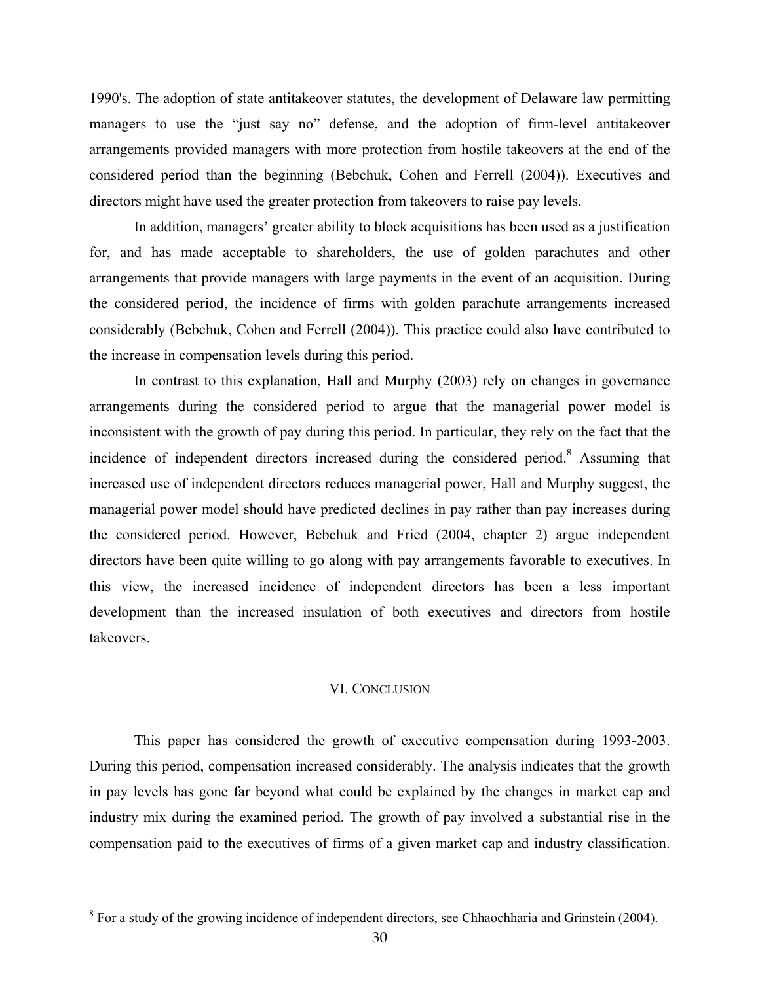1990's. The adoption of state antitakeover statutes, the development of Delaware law permitting managers to use the "just say no" defense, and the adoption of firm-level antitakeover arrangements provided managers with more protection from hostile takeovers at the end of the considered period than the beginning (Bebchuk, Cohen and Ferrell (2004)). Executives and directors might have used the greater protection from takeovers to raise pay levels.

In addition, managers' greater ability to block acquisitions has been used as a justification for, and has made acceptable to shareholders, the use of golden parachutes and other arrangements that provide managers with large payments in the event of an acquisition. During the considered period, the incidence of firms with golden parachute arrangements increased considerably (Bebchuk, Cohen and Ferrell (2004)). This practice could also have contributed to the increase in compensation levels during this period.

In contrast to this explanation, Hall and Murphy (2003) rely on changes in governance arrangements during the considered period to argue that the managerial power model is inconsistent with the growth of pay during this period. In particular, they rely on the fact that the incidence of independent directors increased during the considered period.<sup>8</sup> Assuming that increased use of independent directors reduces managerial power, Hall and Murphy suggest, the managerial power model should have predicted declines in pay rather than pay increases during the considered period. However, Bebchuk and Fried (2004, chapter 2) argue independent directors have been quite willing to go along with pay arrangements favorable to executives. In this view, the increased incidence of independent directors has been a less important development than the increased insulation of both executives and directors from hostile takeovers.

# VI. CONCLUSION

 This paper has considered the growth of executive compensation during 1993-2003. During this period, compensation increased considerably. The analysis indicates that the growth in pay levels has gone far beyond what could be explained by the changes in market cap and industry mix during the examined period. The growth of pay involved a substantial rise in the compensation paid to the executives of firms of a given market cap and industry classification.

<sup>&</sup>lt;sup>8</sup> For a study of the growing incidence of independent directors, see Chhaochharia and Grinstein (2004).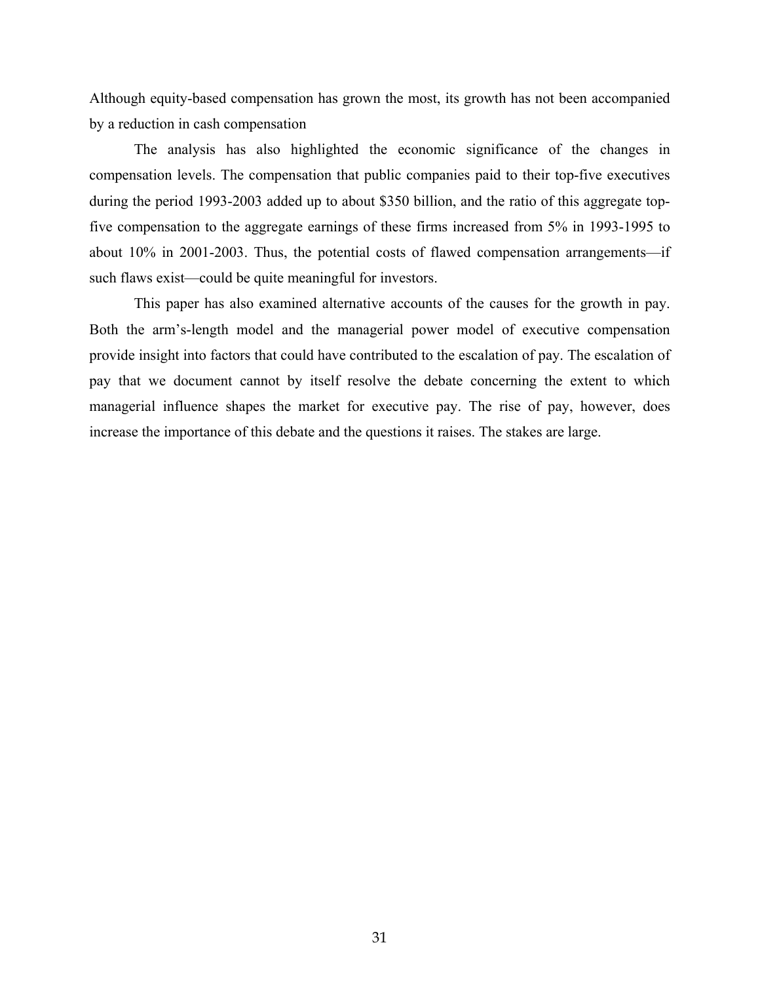Although equity-based compensation has grown the most, its growth has not been accompanied by a reduction in cash compensation

The analysis has also highlighted the economic significance of the changes in compensation levels. The compensation that public companies paid to their top-five executives during the period 1993-2003 added up to about \$350 billion, and the ratio of this aggregate topfive compensation to the aggregate earnings of these firms increased from 5% in 1993-1995 to about 10% in 2001-2003. Thus, the potential costs of flawed compensation arrangements—if such flaws exist—could be quite meaningful for investors.

 This paper has also examined alternative accounts of the causes for the growth in pay. Both the arm's-length model and the managerial power model of executive compensation provide insight into factors that could have contributed to the escalation of pay. The escalation of pay that we document cannot by itself resolve the debate concerning the extent to which managerial influence shapes the market for executive pay. The rise of pay, however, does increase the importance of this debate and the questions it raises. The stakes are large.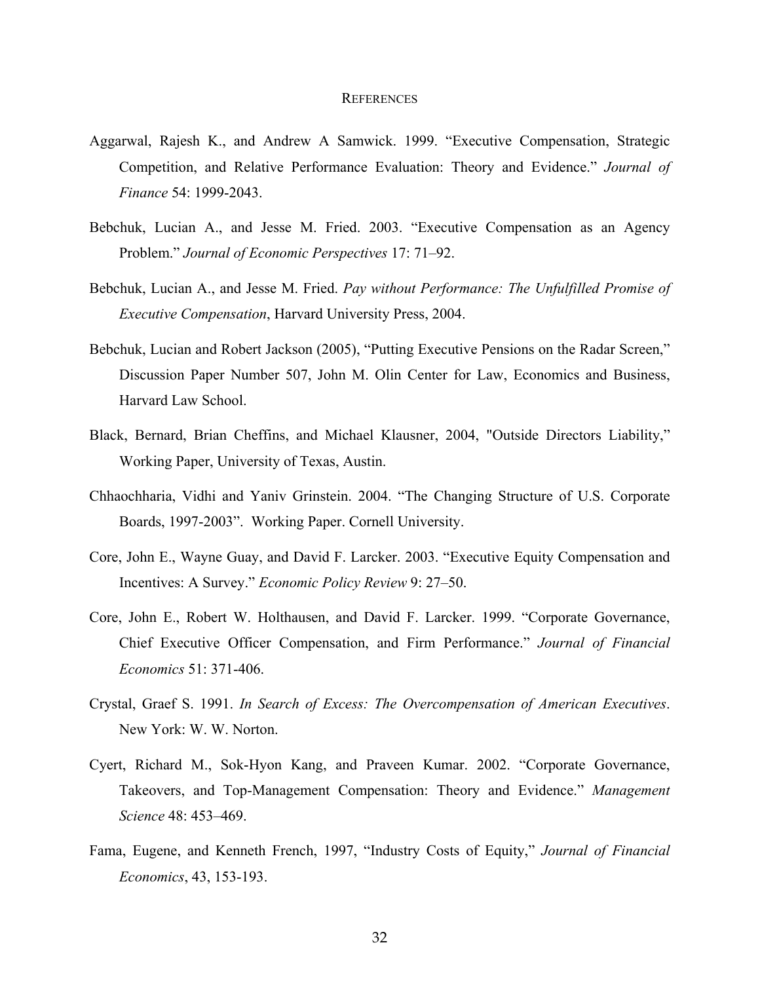#### **REFERENCES**

- Aggarwal, Rajesh K., and Andrew A Samwick. 1999. "Executive Compensation, Strategic Competition, and Relative Performance Evaluation: Theory and Evidence." *Journal of Finance* 54: 1999-2043.
- Bebchuk, Lucian A., and Jesse M. Fried. 2003. "Executive Compensation as an Agency Problem." *Journal of Economic Perspectives* 17: 71–92.
- Bebchuk, Lucian A., and Jesse M. Fried. *Pay without Performance: The Unfulfilled Promise of Executive Compensation*, Harvard University Press, 2004.
- Bebchuk, Lucian and Robert Jackson (2005), "Putting Executive Pensions on the Radar Screen," Discussion Paper Number 507, John M. Olin Center for Law, Economics and Business, Harvard Law School.
- Black, Bernard, Brian Cheffins, and Michael Klausner, 2004, "Outside Directors Liability," Working Paper, University of Texas, Austin.
- Chhaochharia, Vidhi and Yaniv Grinstein. 2004. "The Changing Structure of U.S. Corporate Boards, 1997-2003". Working Paper. Cornell University.
- Core, John E., Wayne Guay, and David F. Larcker. 2003. "Executive Equity Compensation and Incentives: A Survey." *Economic Policy Review* 9: 27–50.
- Core, John E., Robert W. Holthausen, and David F. Larcker. 1999. "Corporate Governance, Chief Executive Officer Compensation, and Firm Performance." *Journal of Financial Economics* 51: 371-406.
- Crystal, Graef S. 1991. *In Search of Excess: The Overcompensation of American Executives*. New York: W. W. Norton.
- Cyert, Richard M., Sok-Hyon Kang, and Praveen Kumar. 2002. "Corporate Governance, Takeovers, and Top-Management Compensation: Theory and Evidence." *Management Science* 48: 453–469.
- Fama, Eugene, and Kenneth French, 1997, "Industry Costs of Equity," *Journal of Financial Economics*, 43, 153-193.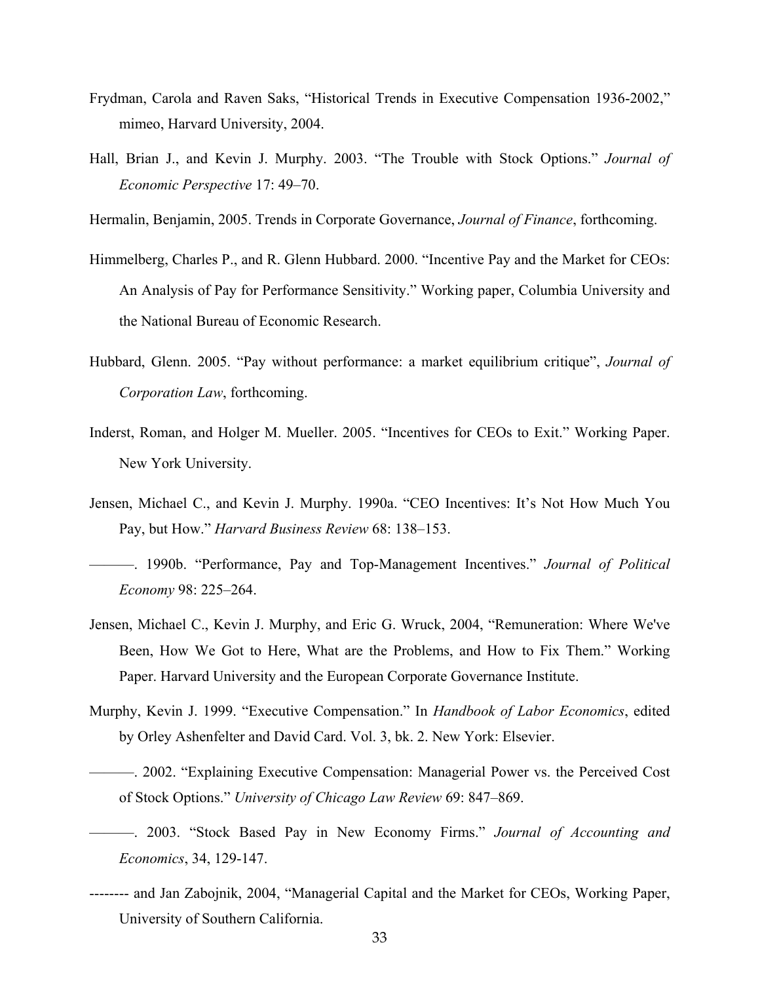- Frydman, Carola and Raven Saks, "Historical Trends in Executive Compensation 1936-2002," mimeo, Harvard University, 2004.
- Hall, Brian J., and Kevin J. Murphy. 2003. "The Trouble with Stock Options." *Journal of Economic Perspective* 17: 49–70.
- Hermalin, Benjamin, 2005. Trends in Corporate Governance, *Journal of Finance*, forthcoming.
- Himmelberg, Charles P., and R. Glenn Hubbard. 2000. "Incentive Pay and the Market for CEOs: An Analysis of Pay for Performance Sensitivity." Working paper, Columbia University and the National Bureau of Economic Research.
- Hubbard, Glenn. 2005. "Pay without performance: a market equilibrium critique", *Journal of Corporation Law*, forthcoming.
- Inderst, Roman, and Holger M. Mueller. 2005. "Incentives for CEOs to Exit." Working Paper. New York University.
- Jensen, Michael C., and Kevin J. Murphy. 1990a. "CEO Incentives: It's Not How Much You Pay, but How." *Harvard Business Review* 68: 138–153.
- ———. 1990b. "Performance, Pay and Top-Management Incentives." *Journal of Political Economy* 98: 225–264.
- Jensen, Michael C., Kevin J. Murphy, and Eric G. Wruck, 2004, "Remuneration: Where We've Been, How We Got to Here, What are the Problems, and How to Fix Them." Working Paper. Harvard University and the European Corporate Governance Institute.
- Murphy, Kevin J. 1999. "Executive Compensation." In *Handbook of Labor Economics*, edited by Orley Ashenfelter and David Card. Vol. 3, bk. 2. New York: Elsevier.
- ———. 2002. "Explaining Executive Compensation: Managerial Power vs. the Perceived Cost of Stock Options." *University of Chicago Law Review* 69: 847–869.
- ———. 2003. "Stock Based Pay in New Economy Firms." *Journal of Accounting and Economics*, 34, 129-147.
- -------- and Jan Zabojnik, 2004, "Managerial Capital and the Market for CEOs, Working Paper, University of Southern California.